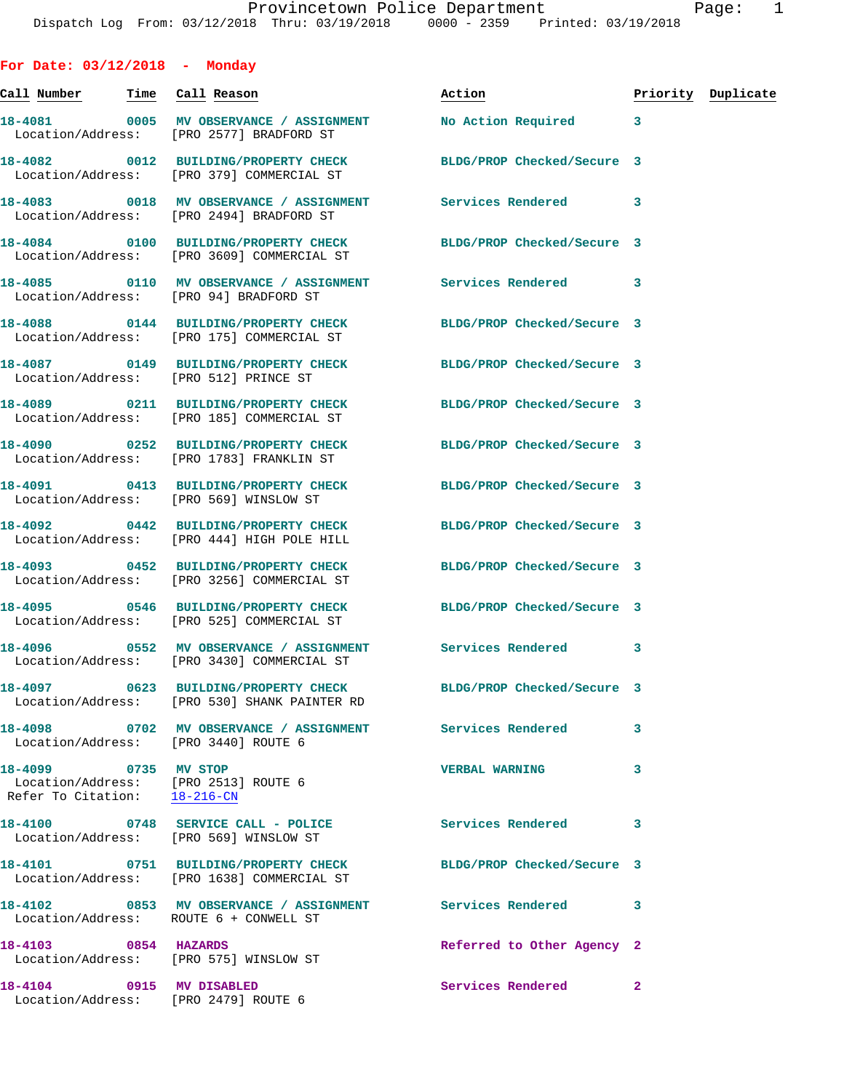**For Date: 03/12/2018 - Monday Call Number Time Call Reason Action Priority Duplicate 18-4081 0005 MV OBSERVANCE / ASSIGNMENT No Action Required 3**  Location/Address: [PRO 2577] BRADFORD ST **18-4082 0012 BUILDING/PROPERTY CHECK BLDG/PROP Checked/Secure 3**  Location/Address: [PRO 379] COMMERCIAL ST **18-4083 0018 MV OBSERVANCE / ASSIGNMENT Services Rendered 3**  Location/Address: [PRO 2494] BRADFORD ST **18-4084 0100 BUILDING/PROPERTY CHECK BLDG/PROP Checked/Secure 3**  Location/Address: [PRO 3609] COMMERCIAL ST **18-4085 0110 MV OBSERVANCE / ASSIGNMENT Services Rendered 3**  Location/Address: [PRO 94] BRADFORD ST **18-4088 0144 BUILDING/PROPERTY CHECK BLDG/PROP Checked/Secure 3**  Location/Address: [PRO 175] COMMERCIAL ST **18-4087 0149 BUILDING/PROPERTY CHECK BLDG/PROP Checked/Secure 3**  Location/Address: [PRO 512] PRINCE ST **18-4089 0211 BUILDING/PROPERTY CHECK BLDG/PROP Checked/Secure 3**  Location/Address: [PRO 185] COMMERCIAL ST **18-4090 0252 BUILDING/PROPERTY CHECK BLDG/PROP Checked/Secure 3**  Location/Address: [PRO 1783] FRANKLIN ST **18-4091 0413 BUILDING/PROPERTY CHECK BLDG/PROP Checked/Secure 3**  Location/Address: [PRO 569] WINSLOW ST **18-4092 0442 BUILDING/PROPERTY CHECK BLDG/PROP Checked/Secure 3**  Location/Address: [PRO 444] HIGH POLE HILL **18-4093 0452 BUILDING/PROPERTY CHECK BLDG/PROP Checked/Secure 3**  Location/Address: [PRO 3256] COMMERCIAL ST **18-4095 0546 BUILDING/PROPERTY CHECK BLDG/PROP Checked/Secure 3**  Location/Address: [PRO 525] COMMERCIAL ST **18-4096 0552 MV OBSERVANCE / ASSIGNMENT Services Rendered 3**  Location/Address: [PRO 3430] COMMERCIAL ST **18-4097 0623 BUILDING/PROPERTY CHECK BLDG/PROP Checked/Secure 3**  Location/Address: [PRO 530] SHANK PAINTER RD 18-4098 **0702 MV OBSERVANCE / ASSIGNMENT** Services Rendered 3 Location/Address: [PRO 3440] ROUTE 6 **18-4099 0735 MV STOP VERBAL WARNING 3**  Location/Address: [PRO 2513] ROUTE 6 Refer To Citation: 18-216-CN 18-4100 0748 SERVICE CALL - POLICE Services Rendered 3 Location/Address: [PRO 569] WINSLOW ST **18-4101 0751 BUILDING/PROPERTY CHECK BLDG/PROP Checked/Secure 3**  Location/Address: [PRO 1638] COMMERCIAL ST **18-4102 0853 MV OBSERVANCE / ASSIGNMENT Services Rendered 3**  Location/Address: ROUTE 6 + CONWELL ST

**18-4103 0854 HAZARDS Referred to Other Agency 2**  Location/Address: [PRO 575] WINSLOW ST

Location/Address: [PRO 2479] ROUTE 6

**18-4104 0915 MV DISABLED Services Rendered 2**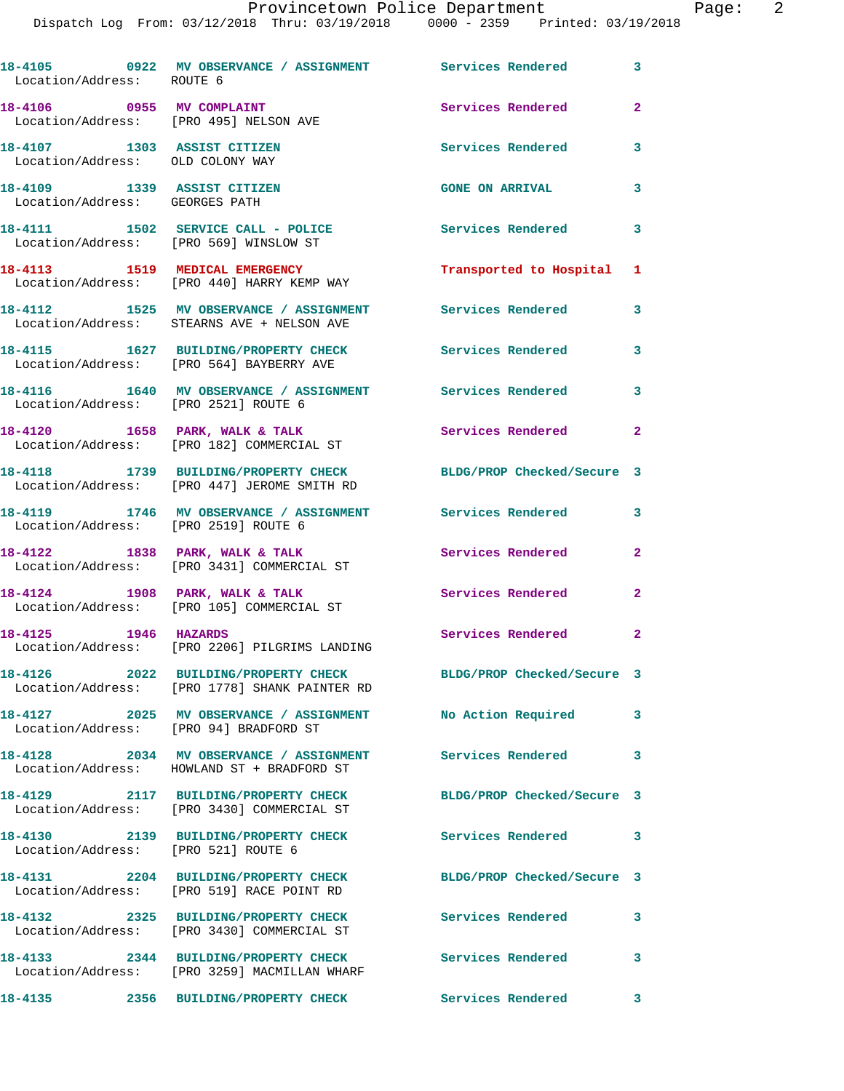| Location/Address: ROUTE 6                                           | 18-4105 0922 MV OBSERVANCE / ASSIGNMENT Services Rendered 3                                        |                            |                            |
|---------------------------------------------------------------------|----------------------------------------------------------------------------------------------------|----------------------------|----------------------------|
| 18-4106 0955 MV COMPLAINT<br>Location/Address: [PRO 495] NELSON AVE |                                                                                                    | Services Rendered          | $\mathbf{2}$               |
| 18-4107 1303 ASSIST CITIZEN<br>Location/Address: OLD COLONY WAY     |                                                                                                    | Services Rendered          | 3                          |
| 18-4109 1339 ASSIST CITIZEN<br>Location/Address: GEORGES PATH       |                                                                                                    | <b>GONE ON ARRIVAL</b>     | 3                          |
|                                                                     | 18-4111 1502 SERVICE CALL - POLICE<br>Location/Address: [PRO 569] WINSLOW ST                       | <b>Services Rendered</b>   | $\overline{\phantom{a}}$ 3 |
|                                                                     | 18-4113 1519 MEDICAL EMERGENCY<br>Location/Address: [PRO 440] HARRY KEMP WAY                       | Transported to Hospital    | 1                          |
|                                                                     | 18-4112 1525 MV OBSERVANCE / ASSIGNMENT<br>Location/Address: STEARNS AVE + NELSON AVE              | <b>Services Rendered</b>   | $\overline{\phantom{a}}$ 3 |
|                                                                     | 18-4115 1627 BUILDING/PROPERTY CHECK Services Rendered<br>Location/Address: [PRO 564] BAYBERRY AVE |                            | $\mathbf{3}$               |
| Location/Address: [PRO 2521] ROUTE 6                                | 18-4116 1640 MV OBSERVANCE / ASSIGNMENT Services Rendered 3                                        |                            |                            |
|                                                                     | 18-4120 1658 PARK, WALK & TALK<br>Location/Address: [PRO 182] COMMERCIAL ST                        | Services Rendered          | $\mathbf{2}$               |
|                                                                     | 18-4118 1739 BUILDING/PROPERTY CHECK<br>Location/Address: [PRO 447] JEROME SMITH RD                | BLDG/PROP Checked/Secure 3 |                            |
| Location/Address: [PRO 2519] ROUTE 6                                | 18-4119 1746 MV OBSERVANCE / ASSIGNMENT Services Rendered                                          |                            | 3                          |
| 18-4122 1838 PARK, WALK & TALK                                      | Location/Address: [PRO 3431] COMMERCIAL ST                                                         | Services Rendered          | $\mathbf{2}$               |
|                                                                     | 18-4124 1908 PARK, WALK & TALK<br>Location/Address: [PRO 105] COMMERCIAL ST                        | Services Rendered          | $\mathbf{2}$               |
| 18-4125 1946 HAZARDS                                                | Location/Address: [PRO 2206] PILGRIMS LANDING                                                      | Services Rendered 2        |                            |
|                                                                     | 18-4126 2022 BUILDING/PROPERTY CHECK<br>Location/Address: [PRO 1778] SHANK PAINTER RD              | BLDG/PROP Checked/Secure 3 |                            |
| Location/Address: [PRO 94] BRADFORD ST                              | 18-4127 2025 MV OBSERVANCE / ASSIGNMENT                                                            | No Action Required         | 3                          |
|                                                                     | 18-4128 2034 MV OBSERVANCE / ASSIGNMENT<br>Location/Address: HOWLAND ST + BRADFORD ST              | <b>Services Rendered</b>   | 3                          |
| 18-4129                                                             | 2117 BUILDING/PROPERTY CHECK<br>Location/Address: [PRO 3430] COMMERCIAL ST                         | BLDG/PROP Checked/Secure 3 |                            |
| Location/Address: [PRO 521] ROUTE 6                                 | 18-4130 2139 BUILDING/PROPERTY CHECK                                                               | <b>Services Rendered</b>   | 3                          |
|                                                                     | 18-4131 2204 BUILDING/PROPERTY CHECK<br>Location/Address: [PRO 519] RACE POINT RD                  | BLDG/PROP Checked/Secure 3 |                            |
|                                                                     | 18-4132 2325 BUILDING/PROPERTY CHECK<br>Location/Address: [PRO 3430] COMMERCIAL ST                 | Services Rendered          | 3                          |
|                                                                     | 18-4133 2344 BUILDING/PROPERTY CHECK<br>Location/Address: [PRO 3259] MACMILLAN WHARF               | Services Rendered          | $\overline{\phantom{a}}$ 3 |
| 18-4135                                                             | 2356 BUILDING/PROPERTY CHECK                                                                       | Services Rendered 3        |                            |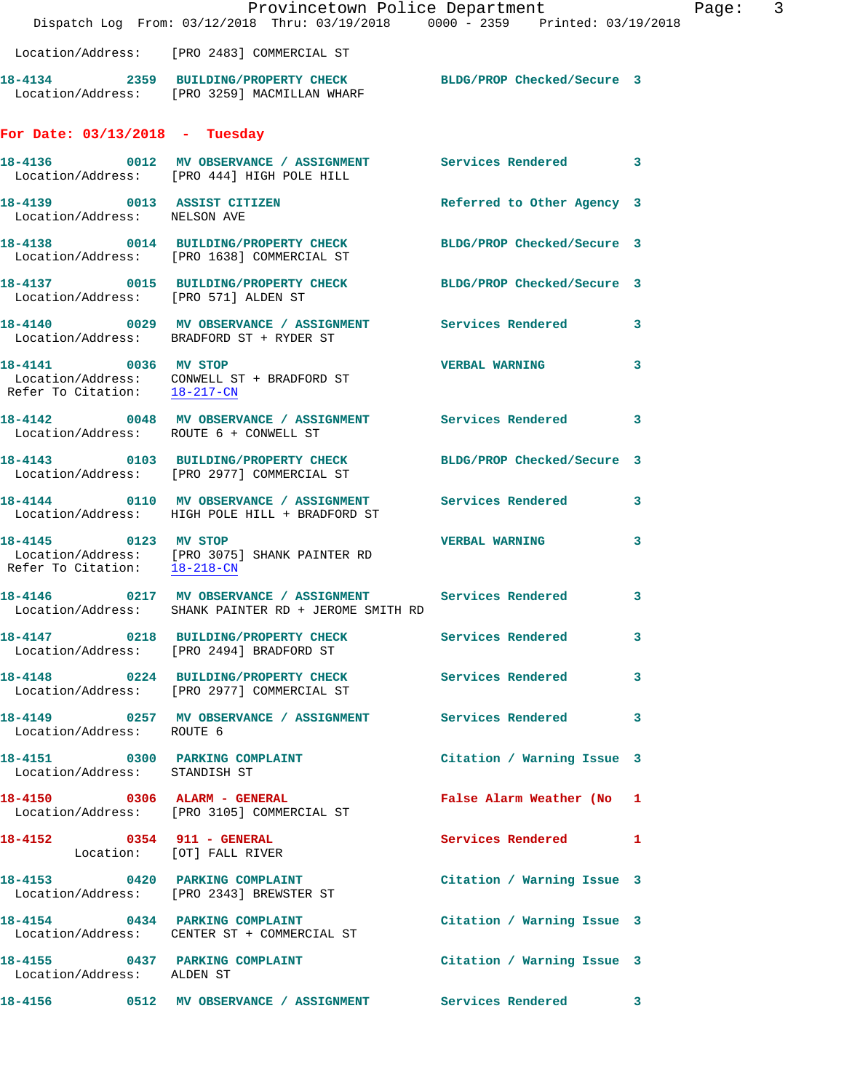|                                                             | Dispatch Log From: 03/12/2018 Thru: 03/19/2018 0000 - 2359 Printed: 03/19/2018                                         | Provincetown Police Department Page: 3 |   |
|-------------------------------------------------------------|------------------------------------------------------------------------------------------------------------------------|----------------------------------------|---|
|                                                             | Location/Address: [PRO 2483] COMMERCIAL ST                                                                             |                                        |   |
|                                                             | 18-4134 2359 BUILDING/PROPERTY CHECK BLDG/PROP Checked/Secure 3<br>Location/Address: [PRO 3259] MACMILLAN WHARF        |                                        |   |
| For Date: $03/13/2018$ - Tuesday                            |                                                                                                                        |                                        |   |
|                                                             | 18-4136 0012 MV OBSERVANCE / ASSIGNMENT Services Rendered 3<br>Location/Address: [PRO 444] HIGH POLE HILL              |                                        |   |
| 18-4139 0013 ASSIST CITIZEN<br>Location/Address: NELSON AVE |                                                                                                                        | Referred to Other Agency 3             |   |
|                                                             | 18-4138 0014 BUILDING/PROPERTY CHECK BLDG/PROP Checked/Secure 3<br>Location/Address: [PRO 1638] COMMERCIAL ST          |                                        |   |
| Location/Address: [PRO 571] ALDEN ST                        | 18-4137 0015 BUILDING/PROPERTY CHECK BLDG/PROP Checked/Secure 3                                                        |                                        |   |
|                                                             | 18-4140 0029 MV OBSERVANCE / ASSIGNMENT Services Rendered 3<br>Location/Address: BRADFORD ST + RYDER ST                |                                        |   |
|                                                             | 18-4141 0036 MV STOP<br>Location/Address: CONWELL ST + BRADFORD ST<br>Refer To Citation: $\frac{18-217-CN}{18-217-CN}$ | VERBAL WARNING 3                       |   |
| Location/Address: ROUTE 6 + CONWELL ST                      | 18-4142 0048 MV OBSERVANCE / ASSIGNMENT Services Rendered 3                                                            |                                        |   |
|                                                             | 18-4143 0103 BUILDING/PROPERTY CHECK BLDG/PROP Checked/Secure 3<br>Location/Address: [PRO 2977] COMMERCIAL ST          |                                        |   |
|                                                             | 18-4144 0110 MV OBSERVANCE / ASSIGNMENT Services Rendered 3<br>Location/Address: HIGH POLE HILL + BRADFORD ST          |                                        |   |
| Refer To Citation: 18-218-CN                                | 18-4145 0123 MV STOP<br>Location/Address: [PRO 3075] SHANK PAINTER RD                                                  | VERBAL WARNING 3                       |   |
|                                                             | 18-4146 0217 MV OBSERVANCE / ASSIGNMENT Services Rendered<br>Location/Address: SHANK PAINTER RD + JEROME SMITH RD      |                                        | 3 |
|                                                             | 18-4147 0218 BUILDING/PROPERTY CHECK Services Rendered 3<br>Location/Address: [PRO 2494] BRADFORD ST                   |                                        |   |
|                                                             | 18-4148 0224 BUILDING/PROPERTY CHECK Services Rendered 3<br>Location/Address: [PRO 2977] COMMERCIAL ST                 |                                        |   |
| Location/Address: ROUTE 6                                   | 18-4149 0257 MV OBSERVANCE / ASSIGNMENT Services Rendered 3                                                            |                                        |   |
| Location/Address: STANDISH ST                               | 18-4151 0300 PARKING COMPLAINT                                                                                         | Citation / Warning Issue 3             |   |
|                                                             | 18-4150 0306 ALARM - GENERAL<br>Location/Address: [PRO 3105] COMMERCIAL ST                                             | False Alarm Weather (No 1              |   |
| Location: [OT] FALL RIVER                                   | 18-4152 0354 911 - GENERAL                                                                                             | Services Rendered 1                    |   |
|                                                             | 18-4153 0420 PARKING COMPLAINT<br>Location/Address: [PRO 2343] BREWSTER ST                                             | Citation / Warning Issue 3             |   |
|                                                             | 18-4154 0434 PARKING COMPLAINT<br>Location/Address: CENTER ST + COMMERCIAL ST                                          | Citation / Warning Issue 3             |   |
| Location/Address: ALDEN ST                                  | 18-4155 0437 PARKING COMPLAINT Contract Citation / Warning Issue 3                                                     |                                        |   |
|                                                             |                                                                                                                        |                                        |   |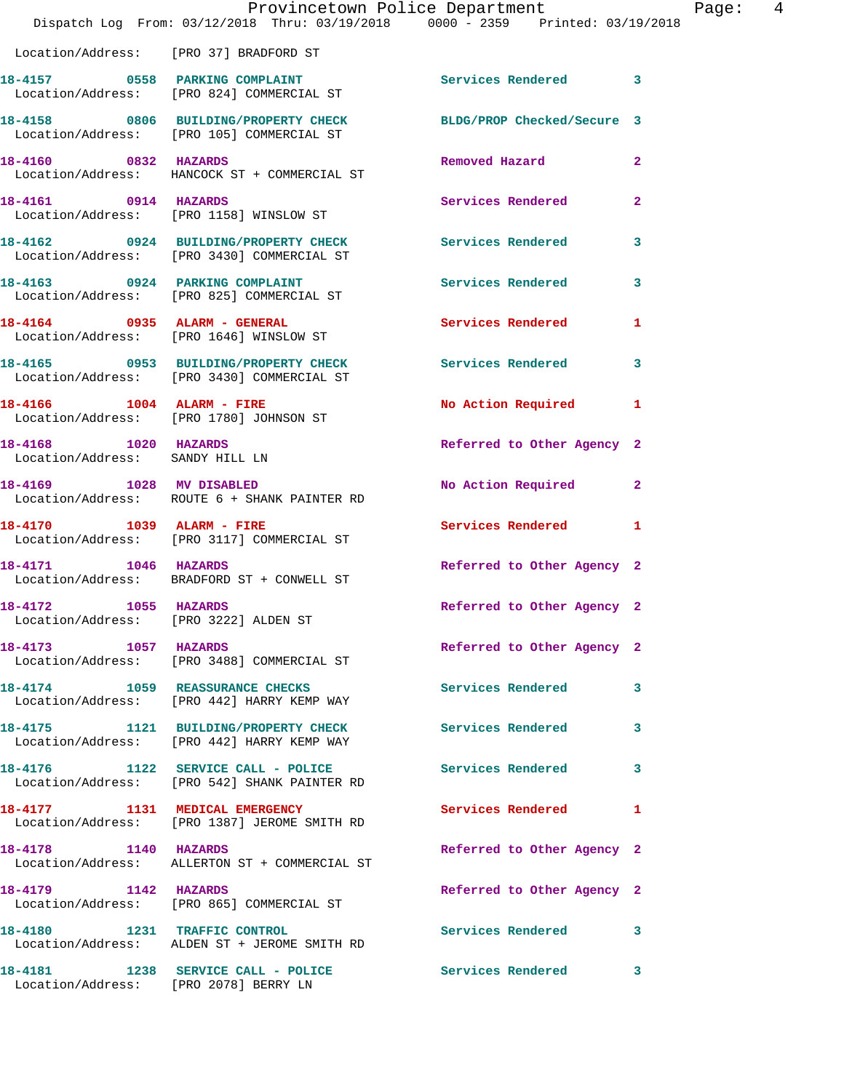|                                                               | Provincetown Police Department<br>Dispatch Log From: 03/12/2018 Thru: 03/19/2018 0000 - 2359 Printed: 03/19/2018 |                            |                |
|---------------------------------------------------------------|------------------------------------------------------------------------------------------------------------------|----------------------------|----------------|
|                                                               | Location/Address: [PRO 37] BRADFORD ST                                                                           |                            |                |
|                                                               |                                                                                                                  |                            |                |
|                                                               | 18-4157 0558 PARKING COMPLAINT<br>Location/Address: [PRO 824] COMMERCIAL ST                                      | Services Rendered          | 3              |
|                                                               | 18-4158 0806 BUILDING/PROPERTY CHECK<br>Location/Address: [PRO 105] COMMERCIAL ST                                | BLDG/PROP Checked/Secure 3 |                |
| 18-4160 0832 HAZARDS                                          | Location/Address: HANCOCK ST + COMMERCIAL ST                                                                     | Removed Hazard             | $\mathbf{2}$   |
| 18-4161 0914 HAZARDS                                          | Location/Address: [PRO 1158] WINSLOW ST                                                                          | Services Rendered          | $\overline{a}$ |
|                                                               | 18-4162 0924 BUILDING/PROPERTY CHECK<br>Location/Address: [PRO 3430] COMMERCIAL ST                               | <b>Services Rendered</b>   | 3              |
| 18-4163 0924 PARKING COMPLAINT                                | Location/Address: [PRO 825] COMMERCIAL ST                                                                        | Services Rendered          | 3              |
|                                                               | $18-4164$ 0935 ALARM - GENERAL<br>Location/Address: [PRO 1646] WINSLOW ST                                        | <b>Services Rendered</b>   | 1              |
|                                                               | 18-4165 0953 BUILDING/PROPERTY CHECK<br>Location/Address: [PRO 3430] COMMERCIAL ST                               | <b>Services Rendered</b>   | 3              |
|                                                               | 18-4166 1004 ALARM - FIRE<br>Location/Address: [PRO 1780] JOHNSON ST                                             | <b>No Action Required</b>  | 1              |
| 18-4168 1020 HAZARDS<br>Location/Address: SANDY HILL LN       |                                                                                                                  | Referred to Other Agency 2 |                |
| 18-4169 1028 MV DISABLED                                      | Location/Address: ROUTE 6 + SHANK PAINTER RD                                                                     | No Action Required         | $\mathbf{2}$   |
| 18-4170 1039 ALARM - FIRE                                     | Location/Address: [PRO 3117] COMMERCIAL ST                                                                       | <b>Services Rendered</b>   | 1              |
| 18-4171 1046 HAZARDS                                          | Location/Address: BRADFORD ST + CONWELL ST                                                                       | Referred to Other Agency 2 |                |
| 18-4172 1055 HAZARDS<br>Location/Address: [PRO 3222] ALDEN ST |                                                                                                                  | Referred to Other Agency 2 |                |
| 18-4173 1057 HAZARDS                                          | Location/Address: [PRO 3488] COMMERCIAL ST                                                                       | Referred to Other Agency 2 |                |
|                                                               | 18-4174 1059 REASSURANCE CHECKS<br>Location/Address: [PRO 442] HARRY KEMP WAY                                    | <b>Services Rendered</b>   | 3              |
|                                                               | 18-4175 1121 BUILDING/PROPERTY CHECK<br>Location/Address: [PRO 442] HARRY KEMP WAY                               | <b>Services Rendered</b>   | 3              |
|                                                               | 18-4176 1122 SERVICE CALL - POLICE<br>Location/Address: [PRO 542] SHANK PAINTER RD                               | <b>Services Rendered</b>   | 3              |
|                                                               | 18-4177 1131 MEDICAL EMERGENCY<br>Location/Address: [PRO 1387] JEROME SMITH RD                                   | Services Rendered          | 1              |
| 18-4178 1140 HAZARDS                                          | Location/Address: ALLERTON ST + COMMERCIAL ST                                                                    | Referred to Other Agency 2 |                |
| 18-4179 1142 HAZARDS                                          | Location/Address: [PRO 865] COMMERCIAL ST                                                                        | Referred to Other Agency 2 |                |
|                                                               | 18-4180 1231 TRAFFIC CONTROL<br>Location/Address: ALDEN ST + JEROME SMITH RD                                     | <b>Services Rendered</b>   | 3              |
|                                                               | 18-4181 1238 SERVICE CALL - POLICE                                                                               | Services Rendered          | 3              |

Location/Address: [PRO 2078] BERRY LN

Page: 4<br>18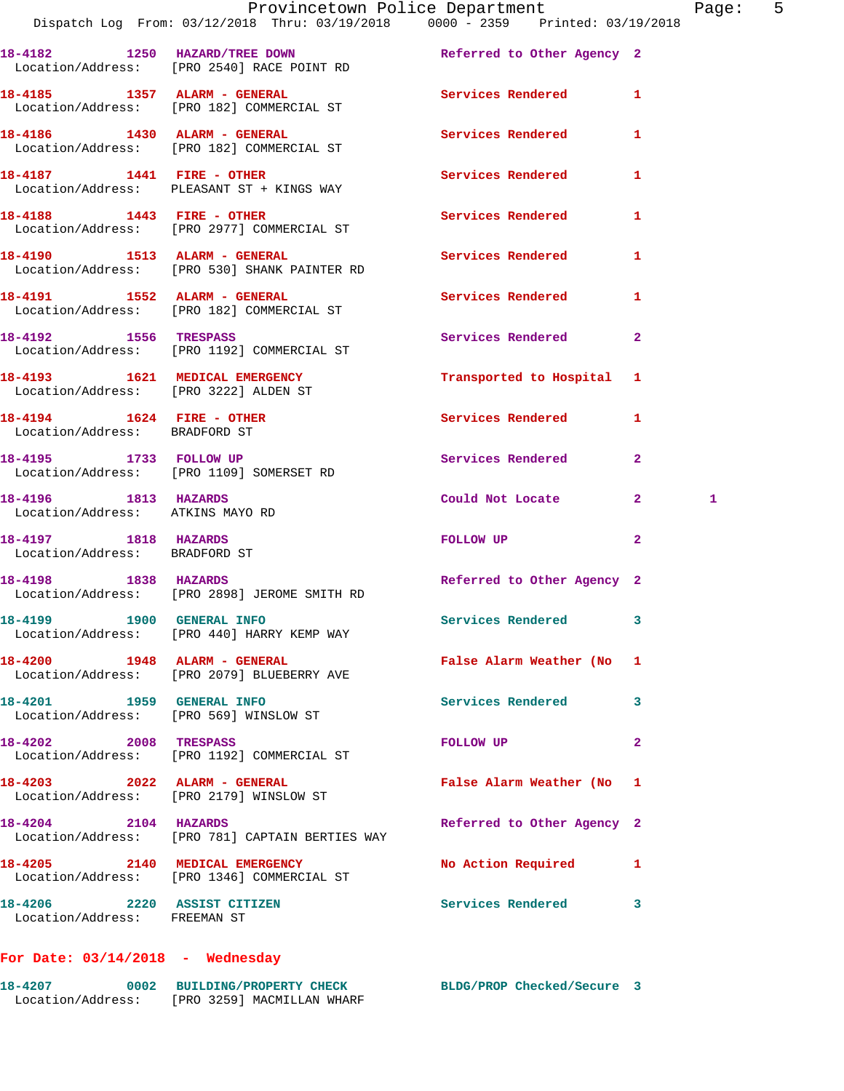|                                                                     | Provincetown Police Department<br>Dispatch Log From: 03/12/2018 Thru: 03/19/2018 0000 - 2359 Printed: 03/19/2018 |                            | Pag                          |
|---------------------------------------------------------------------|------------------------------------------------------------------------------------------------------------------|----------------------------|------------------------------|
|                                                                     | 18-4182 1250 HAZARD/TREE DOWN<br>Location/Address: [PRO 2540] RACE POINT RD                                      | Referred to Other Agency 2 |                              |
|                                                                     | 18-4185 1357 ALARM - GENERAL<br>Location/Address: [PRO 182] COMMERCIAL ST                                        | Services Rendered          | 1                            |
|                                                                     | 18-4186   1430   ALARM - GENERAL<br>Location/Address: [PRO 182] COMMERCIAL ST                                    | <b>Services Rendered</b>   | 1                            |
|                                                                     | Location/Address: PLEASANT ST + KINGS WAY                                                                        | <b>Services Rendered</b>   | 1                            |
|                                                                     | 18-4188 1443 FIRE - OTHER<br>Location/Address: [PRO 2977] COMMERCIAL ST                                          | Services Rendered          | 1                            |
|                                                                     | 18-4190 1513 ALARM - GENERAL<br>Location/Address: [PRO 530] SHANK PAINTER RD                                     | Services Rendered          | 1                            |
|                                                                     | 18-4191 1552 ALARM - GENERAL<br>Location/Address: [PRO 182] COMMERCIAL ST                                        | Services Rendered          | 1                            |
|                                                                     | 18-4192 1556 TRESPASS<br>Location/Address: [PRO 1192] COMMERCIAL ST                                              | Services Rendered          | $\mathbf{2}$                 |
|                                                                     | 18-4193 1621 MEDICAL EMERGENCY<br>Location/Address: [PRO 3222] ALDEN ST                                          | Transported to Hospital 1  |                              |
| 18-4194   1624   FIRE - OTHER<br>Location/Address: BRADFORD ST      |                                                                                                                  | <b>Services Rendered</b>   | 1                            |
| 18-4195 1733 FOLLOW UP                                              | Location/Address: [PRO 1109] SOMERSET RD                                                                         | Services Rendered          | $\overline{2}$               |
| 18-4196 1813 HAZARDS<br>Location/Address: ATKINS MAYO RD            |                                                                                                                  | Could Not Locate           | $\mathbf{2}$<br>$\mathbf{1}$ |
| 18-4197 1818 HAZARDS<br>Location/Address: BRADFORD ST               |                                                                                                                  | FOLLOW UP                  | $\overline{a}$               |
|                                                                     | 18-4198 1838 HAZARDS<br>Location/Address: [PRO 2898] JEROME SMITH RD                                             | Referred to Other Agency 2 |                              |
| 18-4199 1900 GENERAL INFO                                           | Location/Address: [PRO 440] HARRY KEMP WAY                                                                       | <b>Services Rendered</b>   |                              |
| 18-4200 1948 ALARM - GENERAL                                        | Location/Address: [PRO 2079] BLUEBERRY AVE                                                                       | False Alarm Weather (No    | 1                            |
| 18-4201 1959 GENERAL INFO<br>Location/Address: [PRO 569] WINSLOW ST |                                                                                                                  | Services Rendered          | 3                            |
| 18-4202 2008 TRESPASS                                               | Location/Address: [PRO 1192] COMMERCIAL ST                                                                       | <b>FOLLOW UP</b>           | $\mathbf{2}$                 |
| 18-4203 2022 ALARM - GENERAL                                        | Location/Address: [PRO 2179] WINSLOW ST                                                                          | False Alarm Weather (No    | 1                            |
| 18-4204 2104 HAZARDS                                                | Location/Address: [PRO 781] CAPTAIN BERTIES WAY                                                                  | Referred to Other Agency 2 |                              |
| 18-4205 2140 MEDICAL EMERGENCY                                      | Location/Address: [PRO 1346] COMMERCIAL ST                                                                       | No Action Required         | 1                            |
| 18-4206 2220 ASSIST CITIZEN<br>Location/Address: FREEMAN ST         |                                                                                                                  | Services Rendered          | 3                            |

## **For Date: 03/14/2018 - Wednesday**

| 18-4207           | BLDG/PROP Checked/Secure<br>0002 BUILDING/PROPERTY CHECK |  |
|-------------------|----------------------------------------------------------|--|
| Location/Address: | [PRO 3259] MACMILLAN WHARF                               |  |

Page: 5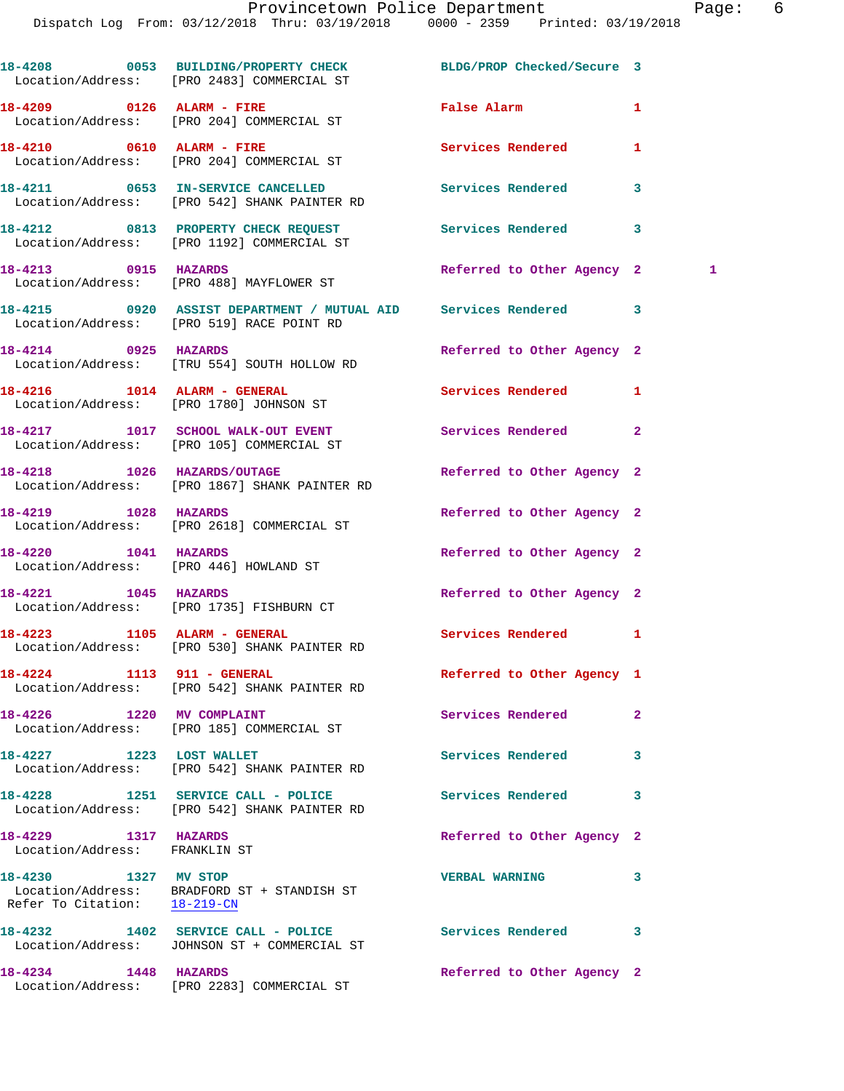**18-4208 0053 BUILDING/PROPERTY CHECK BLDG/PROP Checked/Secure 3**  Location/Address: [PRO 2483] COMMERCIAL ST **18-4209 0126 ALARM - FIRE False Alarm 1**  Location/Address: [PRO 204] COMMERCIAL ST **18-4210 0610 ALARM - FIRE Services Rendered 1**  Location/Address: [PRO 204] COMMERCIAL ST **18-4211 0653 IN-SERVICE CANCELLED Services Rendered 3**  Location/Address: [PRO 542] SHANK PAINTER RD **18-4212 0813 PROPERTY CHECK REQUEST Services Rendered 3**  Location/Address: [PRO 1192] COMMERCIAL ST **18-4213 0915 HAZARDS Referred to Other Agency 2 1**  Location/Address: [PRO 488] MAYFLOWER ST **18-4215 0920 ASSIST DEPARTMENT / MUTUAL AID Services Rendered 3**  Location/Address: [PRO 519] RACE POINT RD **18-4214 0925 HAZARDS Referred to Other Agency 2**  Location/Address: [TRU 554] SOUTH HOLLOW RD **18-4216 1014 ALARM - GENERAL Services Rendered 1**  Location/Address: [PRO 1780] JOHNSON ST 18-4217 1017 SCHOOL WALK-OUT EVENT Services Rendered 2 Location/Address: [PRO 105] COMMERCIAL ST 18-4218 1026 HAZARDS/OUTAGE Referred to Other Agency 2 Location/Address: [PRO 1867] SHANK PAINTER RD **18-4219 1028 HAZARDS Referred to Other Agency 2**  Location/Address: [PRO 2618] COMMERCIAL ST **18-4220 1041 HAZARDS Referred to Other Agency 2**  Location/Address: [PRO 446] HOWLAND ST **18-4221 1045 HAZARDS Referred to Other Agency 2**  Location/Address: [PRO 1735] FISHBURN CT **18-4223 1105 ALARM - GENERAL Services Rendered 1**  Location/Address: [PRO 530] SHANK PAINTER RD **18-4224 1113 911 - GENERAL Referred to Other Agency 1**  Location/Address: [PRO 542] SHANK PAINTER RD **18-4226 1220 MV COMPLAINT Services Rendered 2**  Location/Address: [PRO 185] COMMERCIAL ST 18-4227 1223 LOST WALLET **18-4227** Services Rendered 3 Location/Address: [PRO 542] SHANK PAINTER RD **18-4228 1251 SERVICE CALL - POLICE Services Rendered 3**  Location/Address: [PRO 542] SHANK PAINTER RD **18-4229 1317 HAZARDS Referred to Other Agency 2**  Location/Address: FRANKLIN ST **18-4230 1327 MV STOP VERBAL WARNING 3**  Location/Address: BRADFORD ST + STANDISH ST Refer To Citation: 18-219-CN **18-4232 1402 SERVICE CALL - POLICE Services Rendered 3**  Location/Address: JOHNSON ST + COMMERCIAL ST **18-4234 1448 HAZARDS Referred to Other Agency 2**  Location/Address: [PRO 2283] COMMERCIAL ST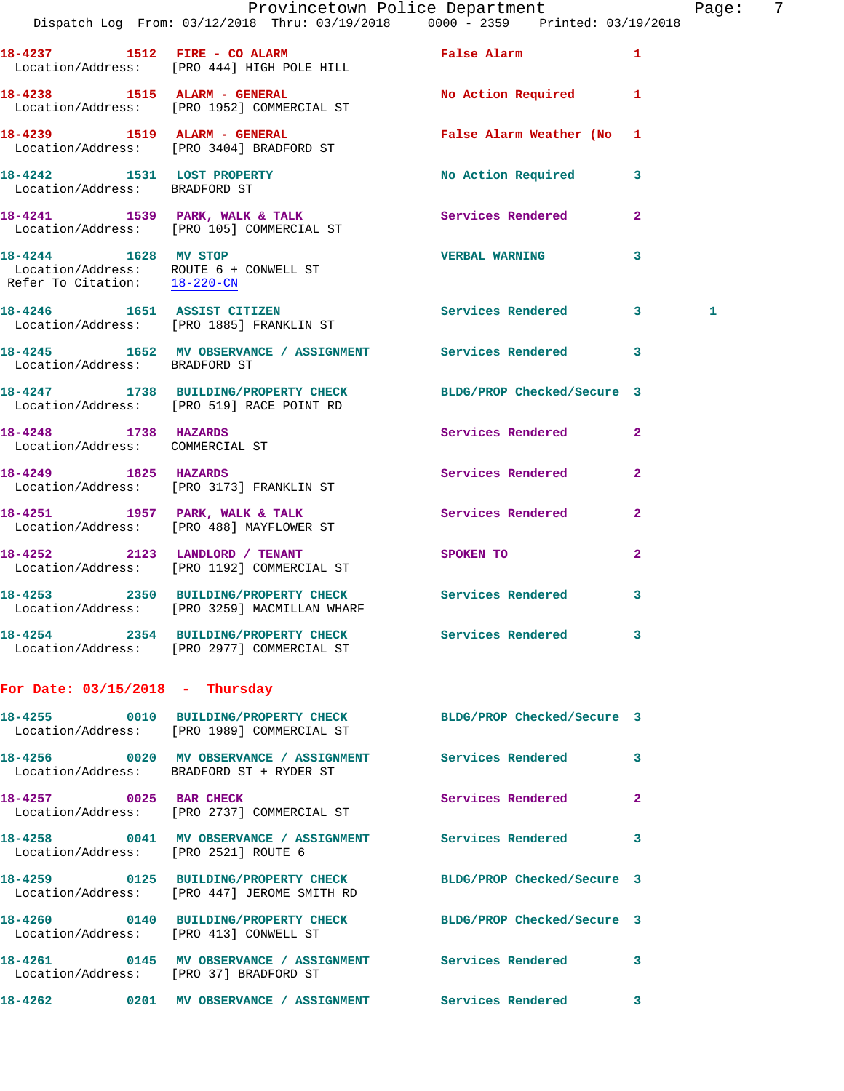|                                                         | Dispatch Log From: 03/12/2018 Thru: 03/19/2018 0000 - 2359 Printed: 03/19/2018                                 | Provincetown Police Department | Page: 7        |
|---------------------------------------------------------|----------------------------------------------------------------------------------------------------------------|--------------------------------|----------------|
|                                                         | 18-4237 1512 FIRE - CO ALARM 1999 False Alarm<br>Location/Address: [PRO 444] HIGH POLE HILL                    |                                | $\mathbf{1}$   |
|                                                         | 18-4238 1515 ALARM - GENERAL<br>Location/Address: [PRO 1952] COMMERCIAL ST                                     | No Action Required 1           |                |
|                                                         | 18-4239 1519 ALARM - GENERAL<br>Location/Address: [PRO 3404] BRADFORD ST                                       | False Alarm Weather (No 1      |                |
| Location/Address: BRADFORD ST                           | 18-4242 1531 LOST PROPERTY                                                                                     | No Action Required 3           |                |
|                                                         | 18-4241 1539 PARK, WALK & TALK 1999 Services Rendered<br>Location/Address: [PRO 105] COMMERCIAL ST             |                                | $\mathbf{2}$   |
| 18-4244 1628 MV STOP                                    | Location/Address: ROUTE $6 +$ CONWELL ST<br>Refer To Citation: $18-220-CN$                                     | VERBAL WARNING 3               |                |
|                                                         | 18-4246 1651 ASSIST CITIZEN<br>Location/Address: [PRO 1885] FRANKLIN ST                                        | Services Rendered 3            | 1              |
| Location/Address: BRADFORD ST                           | 18-4245 1652 MV OBSERVANCE / ASSIGNMENT Services Rendered 3                                                    |                                |                |
|                                                         | 1738 BUILDING/PROPERTY CHECK BLDG/PROP Checked/Secure 3<br>Location/Address: [PRO 519] RACE POINT RD           |                                |                |
| 18-4248 1738 HAZARDS<br>Location/Address: COMMERCIAL ST |                                                                                                                | Services Rendered 2            |                |
|                                                         | 18-4249 1825 HAZARDS<br>Location/Address: [PRO 3173] FRANKLIN ST                                               | Services Rendered 2            |                |
|                                                         | 18-4251 1957 PARK, WALK & TALK<br>Location/Address: [PRO 488] MAYFLOWER ST                                     | <b>Services Rendered</b>       | $\mathbf{2}$   |
|                                                         | 18-4252 2123 LANDLORD / TENANT SPOKEN TO<br>Location/Address: [PRO 1192] COMMERCIAL ST                         |                                | $\overline{2}$ |
|                                                         | 18-4253 2350 BUILDING/PROPERTY CHECK Services Rendered 3<br>Location/Address: [PRO 3259] MACMILLAN WHARF       |                                |                |
|                                                         | 18-4254 2354 BUILDING/PROPERTY CHECK Services Rendered 3<br>Location/Address: [PRO 2977] COMMERCIAL ST         |                                |                |
| For Date: $03/15/2018$ - Thursday                       |                                                                                                                |                                |                |
|                                                         | 18-4255 0010 BUILDING/PROPERTY CHECK BLDG/PROP Checked/Secure 3<br>Location/Address: [PRO 1989] COMMERCIAL ST  |                                |                |
|                                                         | 18-4256 0020 MV OBSERVANCE / ASSIGNMENT Services Rendered 3<br>Location/Address: BRADFORD ST + RYDER ST        |                                |                |
|                                                         | 18-4257 0025 BAR CHECK<br>Location/Address: [PRO 2737] COMMERCIAL ST                                           | Services Rendered              | $\mathbf{2}$   |
| Location/Address: [PRO 2521] ROUTE 6                    | 18-4258 0041 MV OBSERVANCE / ASSIGNMENT Services Rendered 3                                                    |                                |                |
|                                                         | 18-4259 0125 BUILDING/PROPERTY CHECK BLDG/PROP Checked/Secure 3<br>Location/Address: [PRO 447] JEROME SMITH RD |                                |                |
| Location/Address: [PRO 413] CONWELL ST                  | 18-4260 0140 BUILDING/PROPERTY CHECK BLDG/PROP Checked/Secure 3                                                |                                |                |
| Location/Address: [PRO 37] BRADFORD ST                  | 18-4261 0145 MV OBSERVANCE / ASSIGNMENT Services Rendered 3                                                    |                                |                |
|                                                         | 18-4262 0201 MV OBSERVANCE / ASSIGNMENT Services Rendered 3                                                    |                                |                |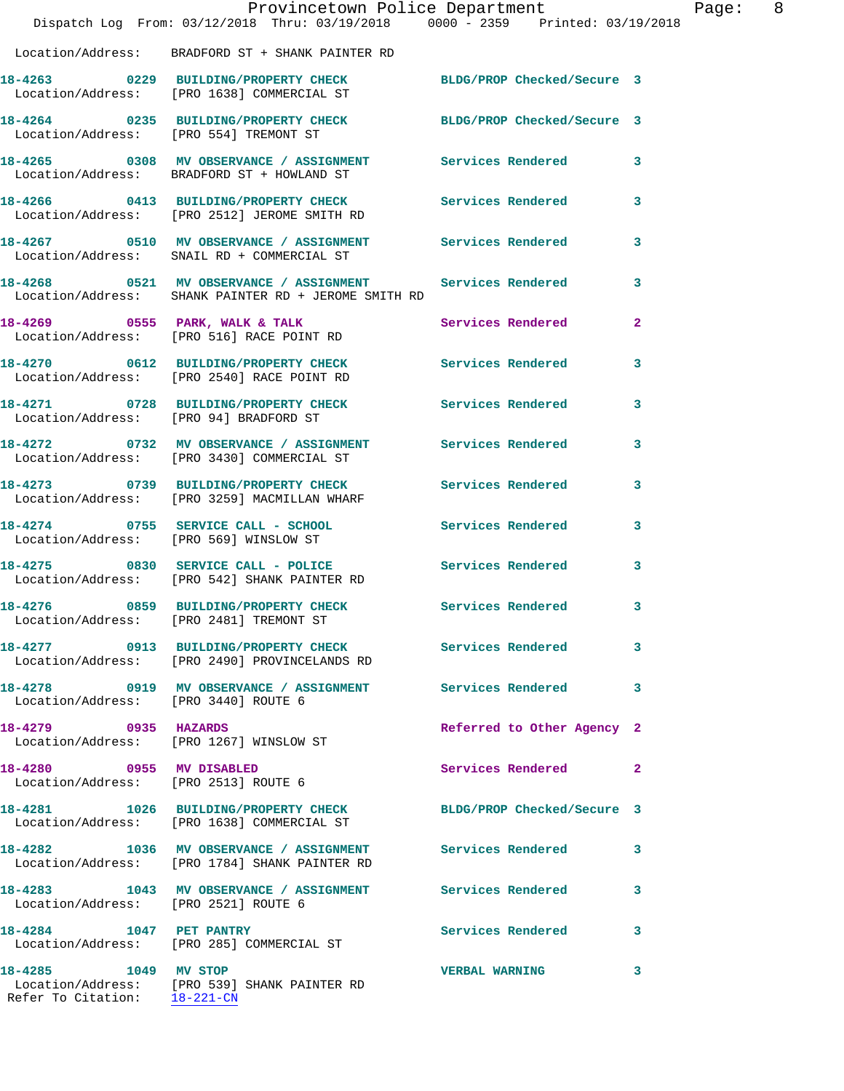|                                        | Provincetown Police Department<br>Dispatch Log From: 03/12/2018 Thru: 03/19/2018 0000 - 2359 Printed: 03/19/2018      |                            | Page: 8        |  |
|----------------------------------------|-----------------------------------------------------------------------------------------------------------------------|----------------------------|----------------|--|
|                                        | Location/Address: BRADFORD ST + SHANK PAINTER RD                                                                      |                            |                |  |
|                                        | 18-4263 0229 BUILDING/PROPERTY CHECK BLDG/PROP Checked/Secure 3<br>Location/Address: [PRO 1638] COMMERCIAL ST         |                            |                |  |
| Location/Address: [PRO 554] TREMONT ST | 18-4264 0235 BUILDING/PROPERTY CHECK BLDG/PROP Checked/Secure 3                                                       |                            |                |  |
|                                        | 18-4265 0308 MV OBSERVANCE / ASSIGNMENT Services Rendered 3<br>Location/Address: BRADFORD ST + HOWLAND ST             |                            |                |  |
|                                        | 18-4266 0413 BUILDING/PROPERTY CHECK Services Rendered 3<br>Location/Address: [PRO 2512] JEROME SMITH RD              |                            |                |  |
|                                        | 18-4267   0510   MV   OBSERVANCE / ASSIGNMENT   Services Rendered   3<br>Location/Address:   SNAIL RD + COMMERCIAL ST |                            |                |  |
|                                        | 18-4268 0521 MV OBSERVANCE / ASSIGNMENT Services Rendered<br>Location/Address: SHANK PAINTER RD + JEROME SMITH RD     |                            | $\mathbf{3}$   |  |
|                                        | 18-4269 0555 PARK, WALK & TALK<br>Location/Address: [PRO 516] RACE POINT RD                                           | Services Rendered          | $\overline{2}$ |  |
|                                        | 18-4270 0612 BUILDING/PROPERTY CHECK Services Rendered 3<br>Location/Address: [PRO 2540] RACE POINT RD                |                            |                |  |
| Location/Address: [PRO 94] BRADFORD ST | 18-4271 0728 BUILDING/PROPERTY CHECK Services Rendered 3                                                              |                            |                |  |
|                                        | 18-4272 0732 MV OBSERVANCE / ASSIGNMENT Services Rendered 3<br>Location/Address: [PRO 3430] COMMERCIAL ST             |                            |                |  |
|                                        | 18-4273 0739 BUILDING/PROPERTY CHECK<br>Location/Address: [PRO 3259] MACMILLAN WHARF                                  | <b>Services Rendered</b>   | 3              |  |
|                                        | 18-4274 0755 SERVICE CALL - SCHOOL Services Rendered 3<br>Location/Address: [PRO 569] WINSLOW ST                      |                            |                |  |
|                                        | 18-4275 0830 SERVICE CALL - POLICE Services Rendered<br>Location/Address: [PRO 542] SHANK PAINTER RD                  |                            | $\mathbf{3}$   |  |
| 18-4276                                | 0859 BUILDING/PROPERTY CHECK Services Rendered 3<br>Location/Address: [PRO 2481] TREMONT ST                           |                            |                |  |
|                                        | 18-4277 0913 BUILDING/PROPERTY CHECK Services Rendered<br>Location/Address: [PRO 2490] PROVINCELANDS RD               |                            | 3              |  |
|                                        | 18-4278 0919 MV OBSERVANCE / ASSIGNMENT Services Rendered 3<br>Location/Address: [PRO 3440] ROUTE 6                   |                            |                |  |
| 18-4279 0935 HAZARDS                   | Location/Address: [PRO 1267] WINSLOW ST                                                                               | Referred to Other Agency 2 |                |  |
| 18-4280 0955 MV DISABLED               | Location/Address: [PRO 2513] ROUTE 6                                                                                  | Services Rendered 2        |                |  |
|                                        | 18-4281 1026 BUILDING/PROPERTY CHECK BLDG/PROP Checked/Secure 3<br>Location/Address: [PRO 1638] COMMERCIAL ST         |                            |                |  |
|                                        | 18-4282 1036 MV OBSERVANCE / ASSIGNMENT Services Rendered 3<br>Location/Address: [PRO 1784] SHANK PAINTER RD          |                            |                |  |
| Location/Address: [PRO 2521] ROUTE 6   | 18-4283 1043 MV OBSERVANCE / ASSIGNMENT Services Rendered                                                             |                            | 3              |  |
| 18-4284 1047 PET PANTRY                | Location/Address: [PRO 285] COMMERCIAL ST                                                                             | Services Rendered 3        |                |  |
|                                        | 18-4285 1049 MV STOP<br>Location/Address: [PRO 539] SHANK PAINTER RD<br>Refer To Citation: 18-221-CN                  | <b>VERBAL WARNING</b>      | 3              |  |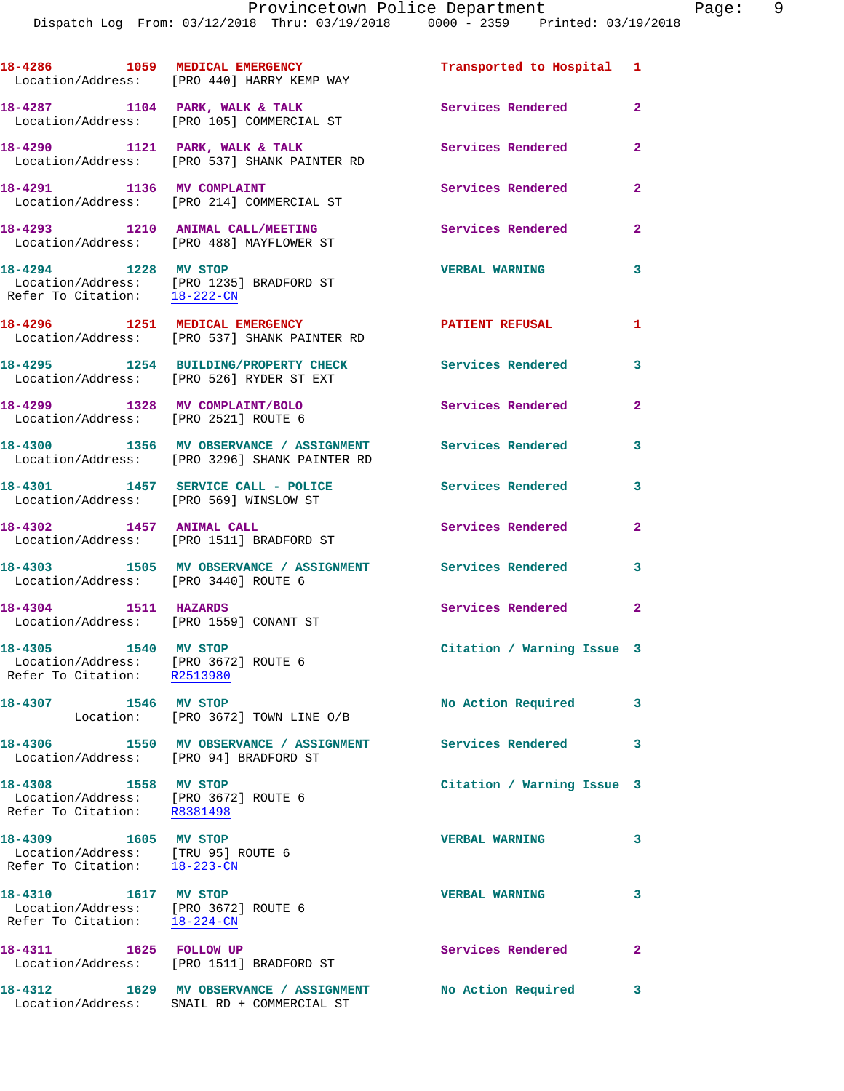Dispatch Log From: 03/12/2018 Thru: 03/19/2018 0000 - 2359 Printed: 03/19/2018

| 18-4286<br>Location/Address: | 1059 | MEDICAL EMERGENCY<br>[PRO 440] HARRY KEMP WAY   | Transported to Hospital 1 |   |
|------------------------------|------|-------------------------------------------------|---------------------------|---|
| 18-4287<br>Location/Address: | 1104 | PARK, WALK & TALK<br>[PRO 105] COMMERCIAL ST    | Services Rendered         |   |
| 18-4290<br>Location/Address: | 1121 | PARK, WALK & TALK<br>[PRO 537] SHANK PAINTER RD | Services Rendered         | 2 |
| 18-4291<br>Location/Address: | 1136 | MV COMPLAINT<br>[PRO 214] COMMERCIAL ST         | Services Rendered         | 2 |

**18-4293 1210 ANIMAL CALL/MEETING Services Rendered 2**  Location/Address: [PRO 488] MAYFLOWER ST

**18-4294 1228 MV STOP VERBAL WARNING 3**  Location/Address: [PRO 1235] BRADFORD ST Refer To Citation: 18-222-CN

**18-4296 1251 MEDICAL EMERGENCY PATIENT REFUSAL 1**  Location/Address: [PRO 537] SHANK PAINTER RD **18-4295 1254 BUILDING/PROPERTY CHECK Services Rendered 3** 

 Location/Address: [PRO 526] RYDER ST EXT **18-4299 1328 MV COMPLAINT/BOLO Services Rendered 2** 

**18-4300 1356 MV OBSERVANCE / ASSIGNMENT Services Rendered 3**  Location/Address: [PRO 3296] SHANK PAINTER RD **18-4301 1457 SERVICE CALL - POLICE Services Rendered 3** 

 Location/Address: [PRO 569] WINSLOW ST **18-4302 1457 ANIMAL CALL Services Rendered 2**  Location/Address: [PRO 1511] BRADFORD ST

**18-4303 1505 MV OBSERVANCE / ASSIGNMENT Services Rendered 3**  Location/Address: [PRO 3440] ROUTE 6 **18-4304 1511 HAZARDS Services Rendered 2**  Location/Address: [PRO 1559] CONANT ST

**18-4305 1540 MV STOP Citation / Warning Issue 3**  Location/Address: [PRO 3672] ROUTE 6 Refer To Citation: R2513980 18-4307 1546 MV STOP **No Action Required** 3 Location: [PRO 3672] TOWN LINE O/B **18-4306 1550 MV OBSERVANCE / ASSIGNMENT Services Rendered 3**  Location/Address: [PRO 94] BRADFORD ST **18-4308 1558 MV STOP Citation / Warning Issue 3** 

 Location/Address: [PRO 3672] ROUTE 6 Refer To Citation: R8381498 **18-4309 1605 MV STOP VERBAL WARNING 3**  Location/Address: [TRU 95] ROUTE 6 Refer To Citation: 18-223-CN **18-4310 1617 MV STOP VERBAL WARNING 3**  Location/Address: [PRO 3672] ROUTE 6 Refer To Citation: 18-224-CN **18-4311 1625 FOLLOW UP Services Rendered 2**  Location/Address: [PRO 1511] BRADFORD ST **18-4312 1629 MV OBSERVANCE / ASSIGNMENT No Action Required 3** 

Location/Address: SNAIL RD + COMMERCIAL ST

Location/Address: [PRO 2521] ROUTE 6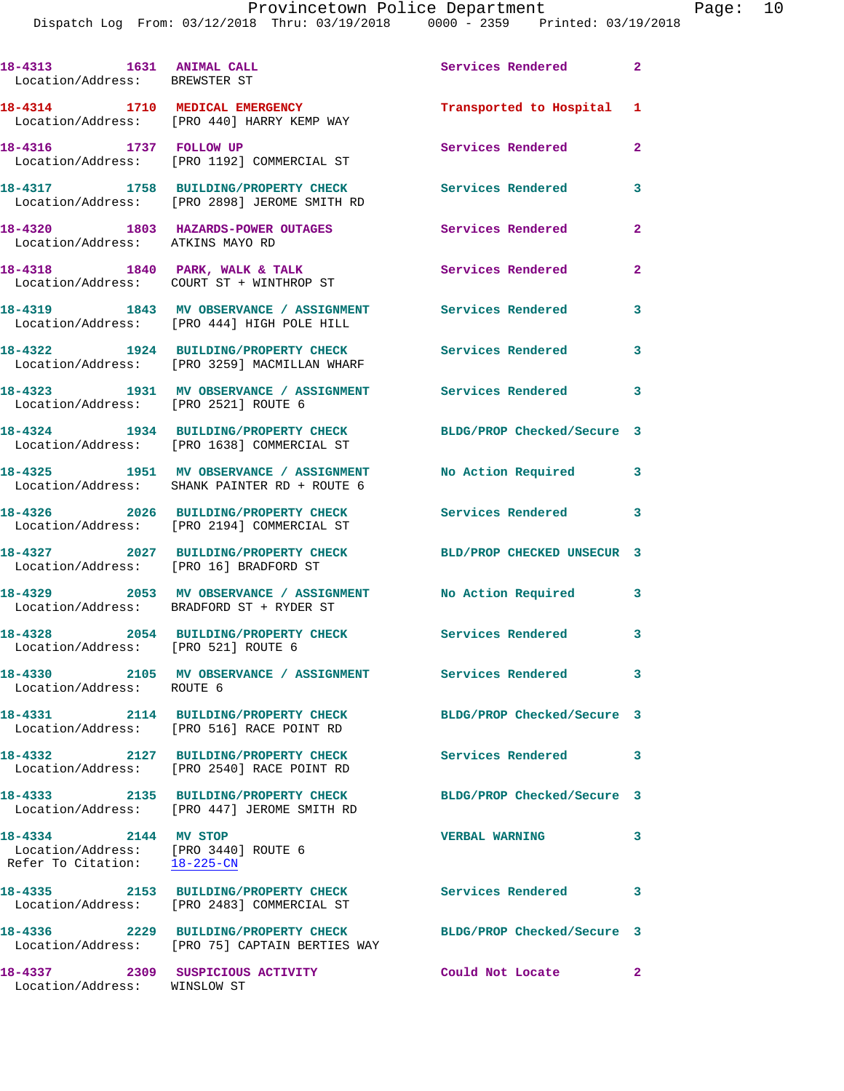Dispatch Log From: 03/12/2018 Thru: 03/19/2018 0000 - 2359 Printed: 03/19/2018 **18-4313 1631 ANIMAL CALL Services Rendered 2**  Location/Address: BREWSTER ST **18-4314 1710 MEDICAL EMERGENCY Transported to Hospital 1**  Location/Address: [PRO 440] HARRY KEMP WAY **18-4316 1737 FOLLOW UP Services Rendered 2**  Location/Address: [PRO 1192] COMMERCIAL ST **18-4317 1758 BUILDING/PROPERTY CHECK Services Rendered 3**  Location/Address: [PRO 2898] JEROME SMITH RD **18-4320 1803 HAZARDS-POWER OUTAGES Services Rendered 2**  Location/Address: ATKINS MAYO RD 18-4318 1840 PARK, WALK & TALK **Services Rendered** 2 Location/Address: COURT ST + WINTHROP ST **18-4319 1843 MV OBSERVANCE / ASSIGNMENT Services Rendered 3**  Location/Address: [PRO 444] HIGH POLE HILL

Location/Address: [PRO 3259] MACMILLAN WHARF

Location/Address: [PRO 16] BRADFORD ST

Location/Address: [PRO 521] ROUTE 6

Location/Address: ROUTE 6

**18-4333 2135 BUILDING/PROPERTY CHECK BLDG/PROP Checked/Secure 3** 

**18-4334 2144 MV STOP VERBAL WARNING 3**  Location/Address: [PRO 3440] ROUTE 6 Refer To Citation: 18-225-CN

Location/Address: [PRO 2483] COMMERCIAL ST

**18-4322 1924 BUILDING/PROPERTY CHECK Services Rendered 3** 

**18-4323 1931 MV OBSERVANCE / ASSIGNMENT Services Rendered 3**  Location/Address: [PRO 2521] ROUTE 6

**18-4324 1934 BUILDING/PROPERTY CHECK BLDG/PROP Checked/Secure 3**  Location/Address: [PRO 1638] COMMERCIAL ST

**18-4325 1951 MV OBSERVANCE / ASSIGNMENT No Action Required 3**  Location/Address: SHANK PAINTER RD + ROUTE 6

**18-4326 2026 BUILDING/PROPERTY CHECK Services Rendered 3**  Location/Address: [PRO 2194] COMMERCIAL ST

**18-4327 2027 BUILDING/PROPERTY CHECK BLD/PROP CHECKED UNSECUR 3** 

**18-4329 2053 MV OBSERVANCE / ASSIGNMENT No Action Required 3**  Location/Address: BRADFORD ST + RYDER ST

**18-4328 2054 BUILDING/PROPERTY CHECK Services Rendered 3** 

**18-4330 2105 MV OBSERVANCE / ASSIGNMENT Services Rendered 3** 

**18-4331 2114 BUILDING/PROPERTY CHECK BLDG/PROP Checked/Secure 3**  Location/Address: [PRO 516] RACE POINT RD

**18-4332 2127 BUILDING/PROPERTY CHECK Services Rendered 3**  Location/Address: [PRO 2540] RACE POINT RD

Location/Address: [PRO 447] JEROME SMITH RD

**18-4335 2153 BUILDING/PROPERTY CHECK Services Rendered 3** 

**18-4336 2229 BUILDING/PROPERTY CHECK BLDG/PROP Checked/Secure 3**  Location/Address: [PRO 75] CAPTAIN BERTIES WAY

**18-4337 2309 SUSPICIOUS ACTIVITY Could Not Locate 2**  Location/Address: WINSLOW ST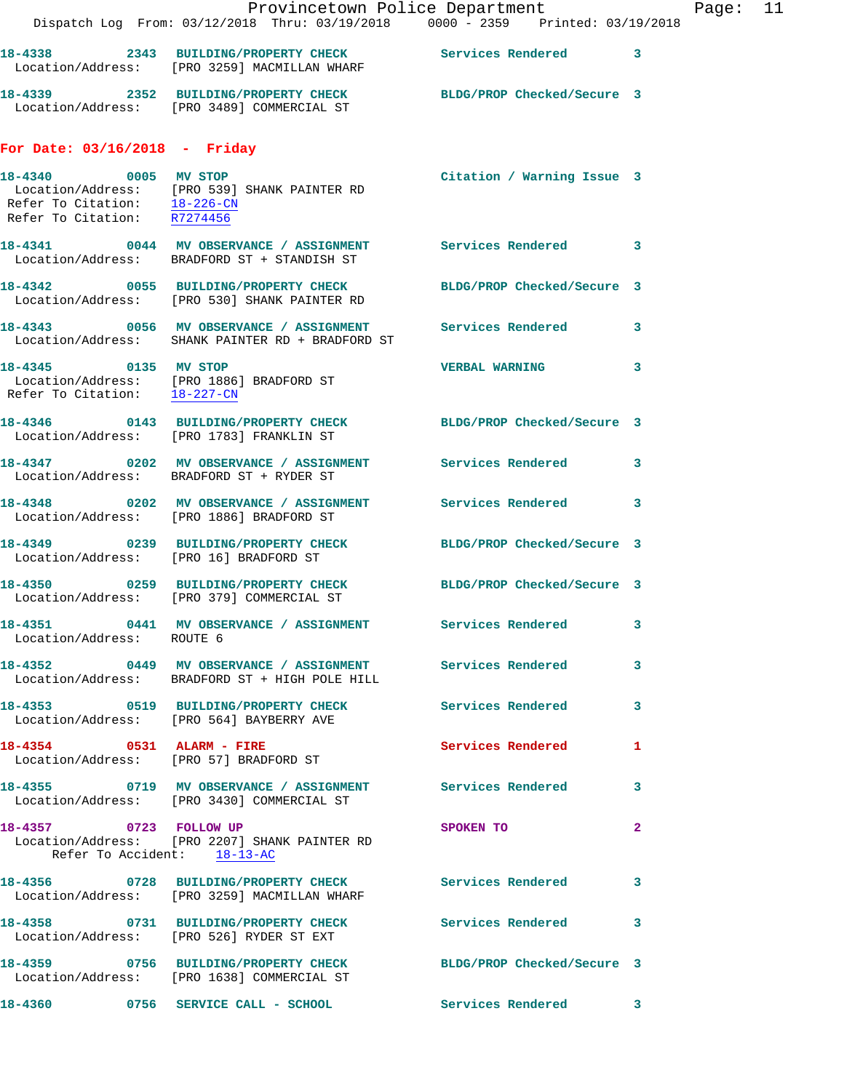|                                                                         | Dispatch Log From: 03/12/2018 Thru: 03/19/2018 0000 - 2359 Printed: 03/19/2018                                  | Provincetown Police Department |              | Page: | 11 |
|-------------------------------------------------------------------------|-----------------------------------------------------------------------------------------------------------------|--------------------------------|--------------|-------|----|
|                                                                         | 18-4338 2343 BUILDING/PROPERTY CHECK Services Rendered 3<br>Location/Address: [PRO 3259] MACMILLAN WHARF        |                                |              |       |    |
|                                                                         | 18-4339 2352 BUILDING/PROPERTY CHECK BLDG/PROP Checked/Secure 3<br>Location/Address: [PRO 3489] COMMERCIAL ST   |                                |              |       |    |
| For Date: $03/16/2018$ - Friday                                         |                                                                                                                 |                                |              |       |    |
| 18-4340 0005 MV STOP<br>Refer To Citation: $\frac{18-226-CN}{R7274456}$ | Location/Address: [PRO 539] SHANK PAINTER RD                                                                    | Citation / Warning Issue 3     |              |       |    |
|                                                                         | 18-4341 0044 MV OBSERVANCE / ASSIGNMENT Services Rendered 3<br>Location/Address: BRADFORD ST + STANDISH ST      |                                |              |       |    |
|                                                                         | 18-4342 0055 BUILDING/PROPERTY CHECK<br>Location/Address: [PRO 530] SHANK PAINTER RD                            | BLDG/PROP Checked/Secure 3     |              |       |    |
|                                                                         | 18-4343 6056 MV OBSERVANCE / ASSIGNMENT Services Rendered 3<br>Location/Address: SHANK PAINTER RD + BRADFORD ST |                                |              |       |    |
| 18-4345 0135 MV STOP<br>Refer To Citation: 18-227-CN                    | Location/Address: [PRO 1886] BRADFORD ST                                                                        | <b>VERBAL WARNING</b>          | $\mathbf{3}$ |       |    |
|                                                                         | 18-4346 0143 BUILDING/PROPERTY CHECK BLDG/PROP Checked/Secure 3<br>Location/Address: [PRO 1783] FRANKLIN ST     |                                |              |       |    |
|                                                                         | 18-4347 0202 MV OBSERVANCE / ASSIGNMENT Services Rendered 3<br>Location/Address: BRADFORD ST + RYDER ST         |                                |              |       |    |
|                                                                         | 18-4348 0202 MV OBSERVANCE / ASSIGNMENT Services Rendered 3<br>Location/Address: [PRO 1886] BRADFORD ST         |                                |              |       |    |
|                                                                         |                                                                                                                 | BLDG/PROP Checked/Secure 3     |              |       |    |
|                                                                         | 18-4350 0259 BUILDING/PROPERTY CHECK BLDG/PROP Checked/Secure 3<br>Location/Address: [PRO 379] COMMERCIAL ST    |                                |              |       |    |
| Location/Address: ROUTE 6                                               | 18-4351 0441 MV OBSERVANCE / ASSIGNMENT Services Rendered 3                                                     |                                |              |       |    |
|                                                                         | 18-4352 0449 MV OBSERVANCE / ASSIGNMENT Services Rendered<br>Location/Address: BRADFORD ST + HIGH POLE HILL     |                                | $\mathbf{3}$ |       |    |
|                                                                         | 18-4353 0519 BUILDING/PROPERTY CHECK Services Rendered<br>Location/Address: [PRO 564] BAYBERRY AVE              |                                | 3            |       |    |
| 18-4354 0531 ALARM - FIRE                                               | Location/Address: [PRO 57] BRADFORD ST                                                                          | <b>Services Rendered</b> 1     |              |       |    |
|                                                                         | 18-4355 0719 MV OBSERVANCE / ASSIGNMENT Services Rendered<br>Location/Address: [PRO 3430] COMMERCIAL ST         |                                | 3            |       |    |
| 18-4357 0723 FOLLOW UP<br>Refer To Accident: 18-13-AC                   | Location/Address: [PRO 2207] SHANK PAINTER RD                                                                   | SPOKEN TO                      | $\mathbf{2}$ |       |    |
|                                                                         | 18-4356 6728 BUILDING/PROPERTY CHECK Services Rendered<br>Location/Address: [PRO 3259] MACMILLAN WHARF          |                                | 3            |       |    |
|                                                                         | 18-4358 0731 BUILDING/PROPERTY CHECK Services Rendered 3<br>Location/Address: [PRO 526] RYDER ST EXT            |                                |              |       |    |
|                                                                         | 18-4359 0756 BUILDING/PROPERTY CHECK BLDG/PROP Checked/Secure 3<br>Location/Address: [PRO 1638] COMMERCIAL ST   |                                |              |       |    |
|                                                                         | 18-4360 0756 SERVICE CALL - SCHOOL                                                                              | Services Rendered 3            |              |       |    |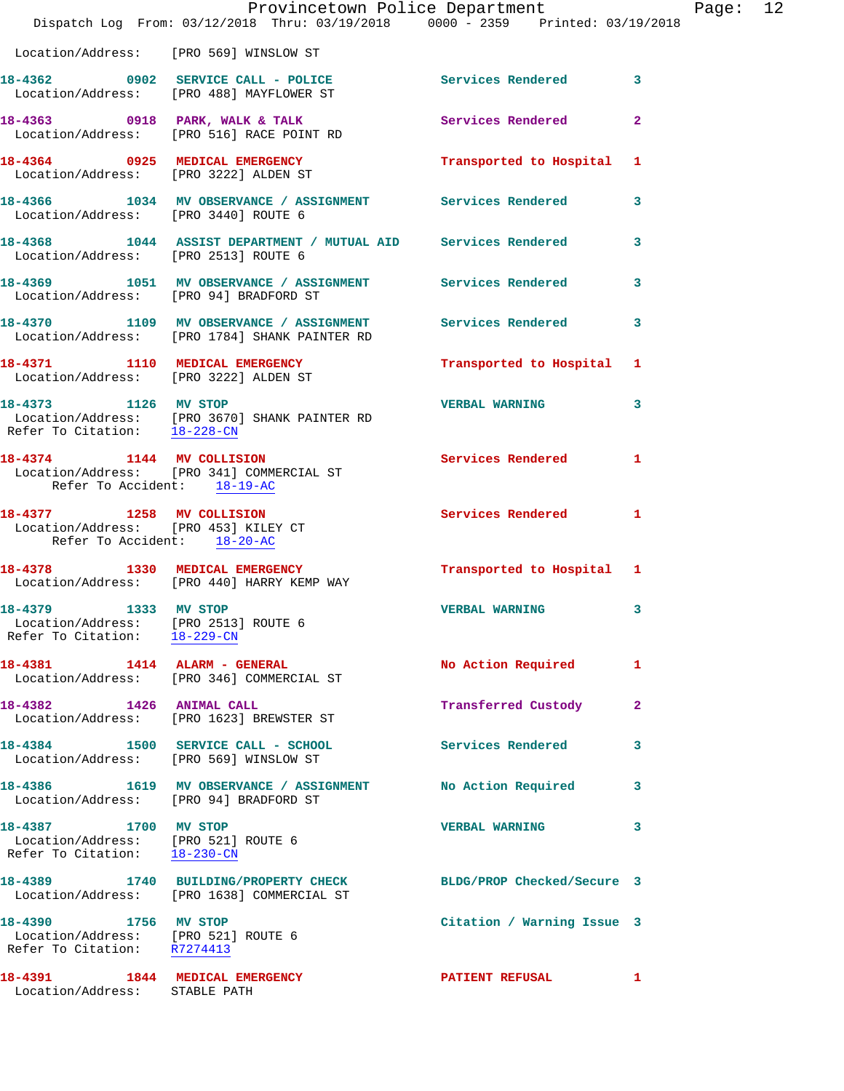|                                                                                                  | Dispatch Log From: 03/12/2018 Thru: 03/19/2018 0000 - 2359 Printed: 03/19/2018                             | Provincetown Police Department |              | Page: 12 |  |
|--------------------------------------------------------------------------------------------------|------------------------------------------------------------------------------------------------------------|--------------------------------|--------------|----------|--|
| Location/Address: [PRO 569] WINSLOW ST                                                           |                                                                                                            |                                |              |          |  |
|                                                                                                  | 18-4362 0902 SERVICE CALL - POLICE Services Rendered 3<br>Location/Address: [PRO 488] MAYFLOWER ST         |                                |              |          |  |
|                                                                                                  | 18-4363 0918 PARK, WALK & TALK 3 Services Rendered<br>Location/Address: [PRO 516] RACE POINT RD            |                                | $\mathbf{2}$ |          |  |
|                                                                                                  | 18-4364 0925 MEDICAL EMERGENCY<br>Location/Address: [PRO 3222] ALDEN ST                                    | Transported to Hospital 1      |              |          |  |
| Location/Address: [PRO 3440] ROUTE 6                                                             | 18-4366 1034 MV OBSERVANCE / ASSIGNMENT Services Rendered 3                                                |                                |              |          |  |
| Location/Address: [PRO 2513] ROUTE 6                                                             | 18-4368 1044 ASSIST DEPARTMENT / MUTUAL AID Services Rendered 3                                            |                                |              |          |  |
|                                                                                                  | 18-4369 1051 MV OBSERVANCE / ASSIGNMENT Services Rendered 3<br>Location/Address: [PRO 94] BRADFORD ST      |                                |              |          |  |
|                                                                                                  | 18-4370 1109 MV OBSERVANCE / ASSIGNMENT Services Rendered<br>Location/Address: [PRO 1784] SHANK PAINTER RD |                                | 3            |          |  |
|                                                                                                  | 18-4371 1110 MEDICAL EMERGENCY<br>Location/Address: [PRO 3222] ALDEN ST                                    | Transported to Hospital 1      |              |          |  |
| Refer To Citation: 18-228-CN                                                                     | 18-4373 1126 MV STOP<br>Location/Address: [PRO 3670] SHANK PAINTER RD                                      | <b>VERBAL WARNING</b>          | 3            |          |  |
| Refer To Accident: 18-19-AC                                                                      | 18-4374 1144 MV COLLISION<br>Location/Address: [PRO 341] COMMERCIAL ST                                     | Services Rendered 1            |              |          |  |
| 18-4377 1258 MV COLLISION<br>Location/Address: [PRO 453] KILEY CT<br>Refer To Accident: 18-20-AC |                                                                                                            | Services Rendered 1            |              |          |  |
|                                                                                                  | 18-4378 1330 MEDICAL EMERGENCY<br>Location/Address: [PRO 440] HARRY KEMP WAY                               | Transported to Hospital 1      |              |          |  |
| 18-4379 1333 MV STOP<br>Location/Address: [PRO 2513] ROUTE 6<br>Refer To Citation: 18-229-CN     |                                                                                                            | <b>VERBAL WARNING</b>          | 3            |          |  |
|                                                                                                  | 18-4381 1414 ALARM - GENERAL<br>Location/Address: [PRO 346] COMMERCIAL ST                                  | No Action Required             | 1            |          |  |
|                                                                                                  | 18-4382 1426 ANIMAL CALL<br>Location/Address: [PRO 1623] BREWSTER ST                                       | Transferred Custody            | 2            |          |  |
| Location/Address: [PRO 569] WINSLOW ST                                                           | 18-4384 1500 SERVICE CALL - SCHOOL                                                                         | Services Rendered              | 3            |          |  |
| Location/Address: [PRO 94] BRADFORD ST                                                           | 18-4386 1619 MV OBSERVANCE / ASSIGNMENT                                                                    | No Action Required             | 3            |          |  |
| 18-4387 1700 MV STOP<br>Location/Address: [PRO 521] ROUTE 6<br>Refer To Citation: 18-230-CN      |                                                                                                            | <b>VERBAL WARNING</b>          | 3            |          |  |
|                                                                                                  | 18-4389 1740 BUILDING/PROPERTY CHECK<br>Location/Address: [PRO 1638] COMMERCIAL ST                         | BLDG/PROP Checked/Secure 3     |              |          |  |
| 18-4390 1756 MV STOP<br>Location/Address: [PRO 521] ROUTE 6<br>Refer To Citation: R7274413       |                                                                                                            | Citation / Warning Issue 3     |              |          |  |
| 18-4391 1844 MEDICAL EMERGENCY<br>Location/Address: STABLE PATH                                  |                                                                                                            | PATIENT REFUSAL                | 1            |          |  |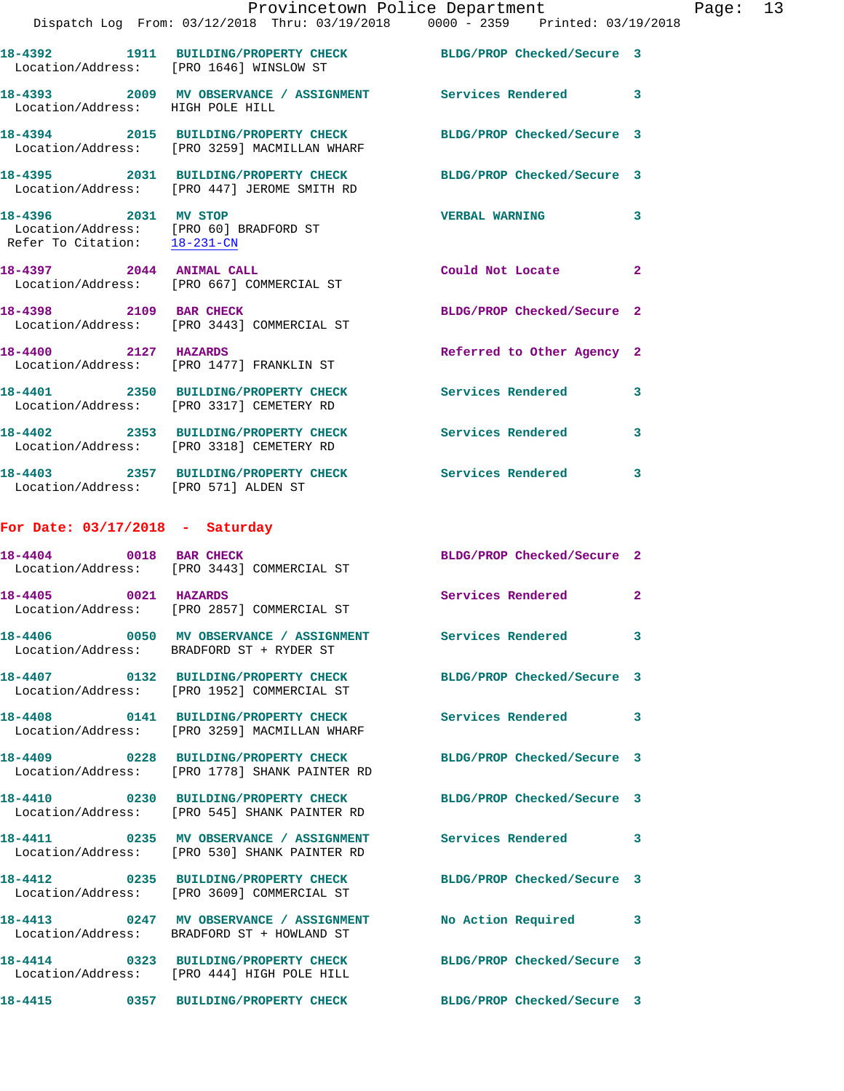|                                      | Provincetown Police Department<br>Dispatch Log From: 03/12/2018 Thru: 03/19/2018 0000 - 2359 Printed: 03/19/2018 |                            |              |
|--------------------------------------|------------------------------------------------------------------------------------------------------------------|----------------------------|--------------|
|                                      | 18-4392 1911 BUILDING/PROPERTY CHECK BLDG/PROP Checked/Secure 3<br>Location/Address: [PRO 1646] WINSLOW ST       |                            |              |
| Location/Address: HIGH POLE HILL     | 18-4393 2009 MV OBSERVANCE / ASSIGNMENT Services Rendered                                                        |                            | 3            |
|                                      | 18-4394 2015 BUILDING/PROPERTY CHECK BLDG/PROP Checked/Secure 3<br>Location/Address: [PRO 3259] MACMILLAN WHARF  |                            |              |
|                                      | 18-4395 2031 BUILDING/PROPERTY CHECK BLDG/PROP Checked/Secure 3<br>Location/Address: [PRO 447] JEROME SMITH RD   |                            |              |
| 18-4396 2031 MV STOP                 | Location/Address: [PRO 60] BRADFORD ST<br>Refer To Citation: 18-231-CN                                           | <b>VERBAL WARNING</b>      | 3            |
|                                      | 18-4397 2044 ANIMAL CALL<br>Location/Address: [PRO 667] COMMERCIAL ST                                            | Could Not Locate           | $\mathbf{2}$ |
| 18-4398 2109 BAR CHECK               | Location/Address: [PRO 3443] COMMERCIAL ST                                                                       | BLDG/PROP Checked/Secure 2 |              |
| 18-4400 2127 HAZARDS                 | Location/Address: [PRO 1477] FRANKLIN ST                                                                         | Referred to Other Agency 2 |              |
|                                      | 18-4401 2350 BUILDING/PROPERTY CHECK<br>Location/Address: [PRO 3317] CEMETERY RD                                 | Services Rendered          | 3            |
|                                      | 18-4402 2353 BUILDING/PROPERTY CHECK<br>Location/Address: [PRO 3318] CEMETERY RD                                 | Services Rendered          | 3            |
| Location/Address: [PRO 571] ALDEN ST | 18-4403 2357 BUILDING/PROPERTY CHECK Services Rendered                                                           |                            | 3            |
| For Date: $03/17/2018$ - Saturday    |                                                                                                                  |                            |              |
|                                      | 18-4404 0018 BAR CHECK<br>Location/Address: [PRO 3443] COMMERCIAL ST                                             | BLDG/PROP Checked/Secure 2 |              |
| 18-4405 0021 HAZARDS                 | Location/Address: [PRO 2857] COMMERCIAL ST                                                                       | Services Rendered 2        |              |
|                                      | 18-4406  0050 MV OBSERVANCE / ASSIGNMENT Services Rendered<br>Location/Address: BRADFORD ST + RYDER ST           |                            | 3            |
|                                      | 18-4407 0132 BUILDING/PROPERTY CHECK<br>Location/Address: [PRO 1952] COMMERCIAL ST                               | BLDG/PROP Checked/Secure 3 |              |
|                                      | 18-4408 0141 BUILDING/PROPERTY CHECK<br>Location/Address: [PRO 3259] MACMILLAN WHARF                             | Services Rendered          | 3            |
|                                      | 18-4409 0228 BUILDING/PROPERTY CHECK<br>Location/Address: [PRO 1778] SHANK PAINTER RD                            | BLDG/PROP Checked/Secure 3 |              |
|                                      | 18-4410 0230 BUILDING/PROPERTY CHECK<br>Location/Address: [PRO 545] SHANK PAINTER RD                             | BLDG/PROP Checked/Secure 3 |              |
|                                      | 18-4411 0235 MV OBSERVANCE / ASSIGNMENT<br>Location/Address: [PRO 530] SHANK PAINTER RD                          | <b>Services Rendered</b>   | 3            |
|                                      | 18-4412 0235 BUILDING/PROPERTY CHECK<br>Location/Address: [PRO 3609] COMMERCIAL ST                               | BLDG/PROP Checked/Secure 3 |              |
|                                      | 18-4413 0247 MV OBSERVANCE / ASSIGNMENT<br>Location/Address: BRADFORD ST + HOWLAND ST                            | No Action Required         | 3            |
|                                      | 18-4414 0323 BUILDING/PROPERTY CHECK                                                                             | BLDG/PROP Checked/Secure 3 |              |

Location/Address: [PRO 444] HIGH POLE HILL

**18-4415 0357 BUILDING/PROPERTY CHECK BLDG/PROP Checked/Secure 3** 

Page:  $13$ <br> $18$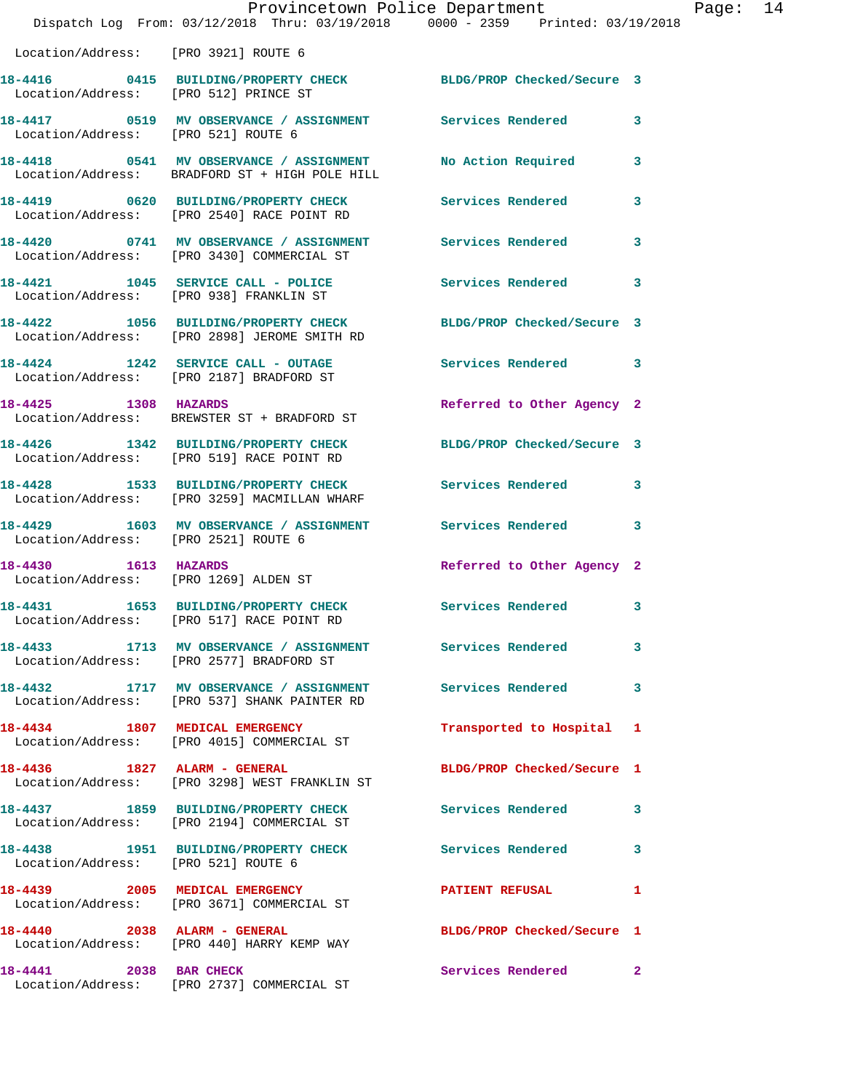|                                       | Provincetown Police Department<br>Dispatch Log From: 03/12/2018 Thru: 03/19/2018 0000 - 2359 Printed: 03/19/2018 |                            |   |
|---------------------------------------|------------------------------------------------------------------------------------------------------------------|----------------------------|---|
|                                       |                                                                                                                  |                            |   |
| Location/Address: [PRO 3921] ROUTE 6  |                                                                                                                  |                            |   |
| Location/Address: [PRO 512] PRINCE ST | 18-4416 0415 BUILDING/PROPERTY CHECK BLDG/PROP Checked/Secure 3                                                  |                            |   |
| Location/Address: [PRO 521] ROUTE 6   | 18-4417 0519 MV OBSERVANCE / ASSIGNMENT Services Rendered                                                        |                            | 3 |
|                                       | 18-4418 0541 MV OBSERVANCE / ASSIGNMENT<br>Location/Address: BRADFORD ST + HIGH POLE HILL                        | No Action Required         | 3 |
|                                       | 18-4419 0620 BUILDING/PROPERTY CHECK<br>Location/Address: [PRO 2540] RACE POINT RD                               | Services Rendered          | 3 |
|                                       | 18-4420 0741 MV OBSERVANCE / ASSIGNMENT<br>Location/Address: [PRO 3430] COMMERCIAL ST                            | Services Rendered          | 3 |
|                                       | 18-4421 1045 SERVICE CALL - POLICE<br>Location/Address: [PRO 938] FRANKLIN ST                                    | Services Rendered          | 3 |
|                                       | 18-4422 1056 BUILDING/PROPERTY CHECK<br>Location/Address: [PRO 2898] JEROME SMITH RD                             | BLDG/PROP Checked/Secure 3 |   |
|                                       | $18-4424$ $1242$ SERVICE CALL - OUTAGE<br>Location/Address: [PRO 2187] BRADFORD ST                               | <b>Services Rendered</b>   | 3 |
| 18-4425 1308 HAZARDS                  | Location/Address: BREWSTER ST + BRADFORD ST                                                                      | Referred to Other Agency 2 |   |
|                                       | 18-4426 1342 BUILDING/PROPERTY CHECK<br>Location/Address: [PRO 519] RACE POINT RD                                | BLDG/PROP Checked/Secure 3 |   |
|                                       | 18-4428 1533 BUILDING/PROPERTY CHECK<br>Location/Address: [PRO 3259] MACMILLAN WHARF                             | Services Rendered          | 3 |
| Location/Address: [PRO 2521] ROUTE 6  | 18-4429 1603 MV OBSERVANCE / ASSIGNMENT Services Rendered                                                        |                            | 3 |
| 1613 HAZARDS<br>18-4430               | Location/Address: [PRO 1269] ALDEN ST                                                                            | Referred to Other Agency 2 |   |
| 1653<br>18-4431                       | BUILDING/PROPERTY CHECK<br>Location/Address: [PRO 517] RACE POINT RD                                             | Services Rendered          | 3 |
|                                       |                                                                                                                  |                            | 3 |
|                                       | 18-4432 1717 MV OBSERVANCE / ASSIGNMENT<br>Location/Address: [PRO 537] SHANK PAINTER RD                          | <b>Services Rendered</b>   | 3 |
|                                       | 18-4434 1807 MEDICAL EMERGENCY<br>Location/Address: [PRO 4015] COMMERCIAL ST                                     | Transported to Hospital    | 1 |
| 18-4436   1827   ALARM - GENERAL      | Location/Address: [PRO 3298] WEST FRANKLIN ST                                                                    | BLDG/PROP Checked/Secure 1 |   |
|                                       | 18-4437 1859 BUILDING/PROPERTY CHECK<br>Location/Address: [PRO 2194] COMMERCIAL ST                               | <b>Services Rendered</b>   | 3 |
| Location/Address: [PRO 521] ROUTE 6   | 18-4438 1951 BUILDING/PROPERTY CHECK                                                                             | <b>Services Rendered</b>   | 3 |
|                                       | 18-4439 2005 MEDICAL EMERGENCY<br>Location/Address: [PRO 3671] COMMERCIAL ST                                     | PATIENT REFUSAL            | 1 |
|                                       | 18-4440 2038 ALARM - GENERAL<br>Location/Address: [PRO 440] HARRY KEMP WAY                                       | BLDG/PROP Checked/Secure 1 |   |
| 18-4441 2038 BAR CHECK                | Location/Address: [PRO 2737] COMMERCIAL ST                                                                       | Services Rendered 2        |   |

Page: 14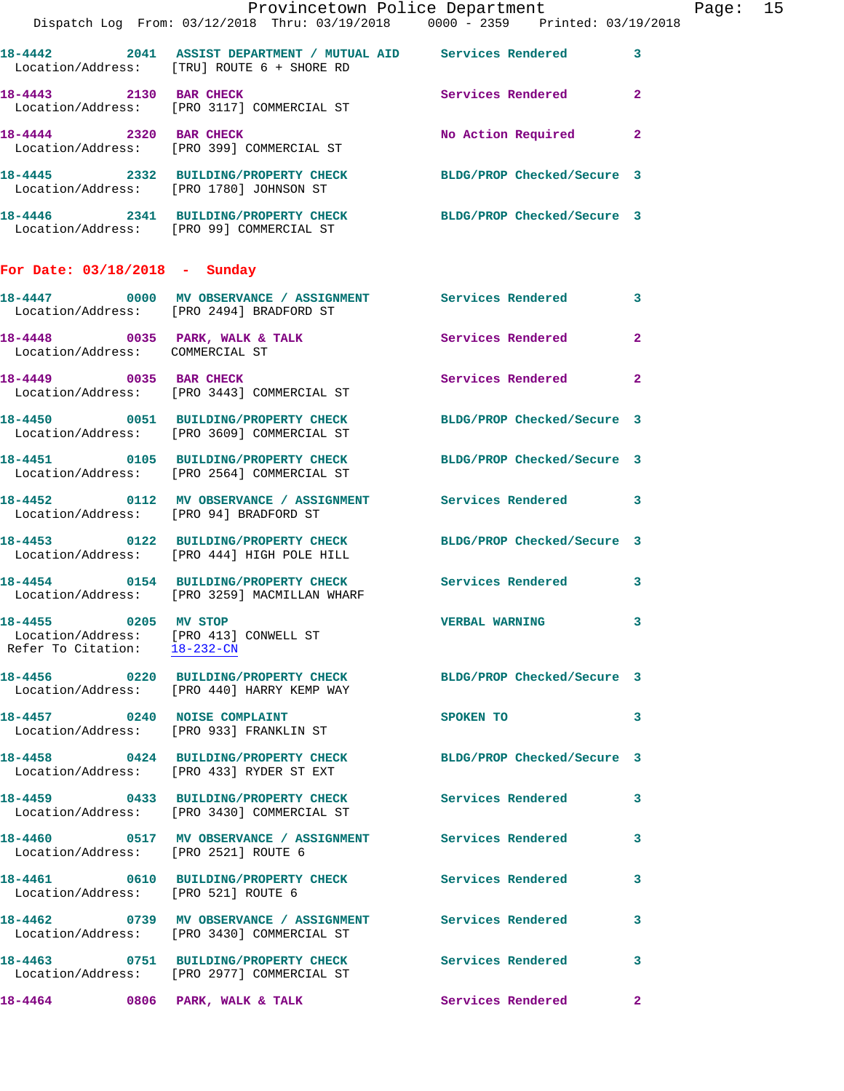|                                                                                                |                                                                                                               | Provincetown Police Department          | Page: 15 |
|------------------------------------------------------------------------------------------------|---------------------------------------------------------------------------------------------------------------|-----------------------------------------|----------|
|                                                                                                | Dispatch Log From: 03/12/2018 Thru: 03/19/2018 0000 - 2359 Printed: 03/19/2018                                |                                         |          |
|                                                                                                | 18-4442 2041 ASSIST DEPARTMENT / MUTUAL AID Services Rendered 3<br>Location/Address: [TRU] ROUTE 6 + SHORE RD |                                         |          |
| 18-4443 2130 BAR CHECK                                                                         | Location/Address: [PRO 3117] COMMERCIAL ST                                                                    | Services Rendered 2                     |          |
|                                                                                                | 18-4444 2320 BAR CHECK<br>Location/Address: [PRO 399] COMMERCIAL ST                                           | No Action Required 2                    |          |
|                                                                                                | 18-4445 2332 BUILDING/PROPERTY CHECK BLDG/PROP Checked/Secure 3<br>Location/Address: [PRO 1780] JOHNSON ST    |                                         |          |
|                                                                                                | 18-4446 2341 BUILDING/PROPERTY CHECK BLDG/PROP Checked/Secure 3<br>Location/Address: [PRO 99] COMMERCIAL ST   |                                         |          |
| For Date: 03/18/2018 - Sunday                                                                  |                                                                                                               |                                         |          |
|                                                                                                | 18-4447 0000 MV OBSERVANCE / ASSIGNMENT Services Rendered 3<br>Location/Address: [PRO 2494] BRADFORD ST       |                                         |          |
| Location/Address: COMMERCIAL ST                                                                | 18-4448 0035 PARK, WALK & TALK Services Rendered 2                                                            |                                         |          |
|                                                                                                | 18-4449 0035 BAR CHECK<br>Location/Address: [PRO 3443] COMMERCIAL ST                                          | Services Rendered 2                     |          |
|                                                                                                | 18-4450 0051 BUILDING/PROPERTY CHECK BLDG/PROP Checked/Secure 3<br>Location/Address: [PRO 3609] COMMERCIAL ST |                                         |          |
|                                                                                                | 18-4451 0105 BUILDING/PROPERTY CHECK BLDG/PROP Checked/Secure 3<br>Location/Address: [PRO 2564] COMMERCIAL ST |                                         |          |
|                                                                                                | 18-4452 		 0112 MV OBSERVANCE / ASSIGNMENT Services Rendered 3<br>Location/Address: [PRO 94] BRADFORD ST      |                                         |          |
|                                                                                                | 18-4453 0122 BUILDING/PROPERTY CHECK BLDG/PROP Checked/Secure 3<br>Location/Address: [PRO 444] HIGH POLE HILL |                                         |          |
|                                                                                                | 18-4454 		 0154 BUILDING/PROPERTY CHECK Services Rendered 3<br>Location/Address: [PRO 3259] MACMILLAN WHARF   |                                         |          |
| 18-4455 0205 MV STOP<br>Location/Address: [PRO 413] CONWELL ST<br>Refer To Citation: 18-232-CN |                                                                                                               | VERBAL WARNING 3                        |          |
|                                                                                                | 18-4456 0220 BUILDING/PROPERTY CHECK BLDG/PROP Checked/Secure 3<br>Location/Address: [PRO 440] HARRY KEMP WAY |                                         |          |
|                                                                                                | 18-4457 0240 NOISE COMPLAINT<br>Location/Address: [PRO 933] FRANKLIN ST                                       | $\overline{\phantom{a}}$ 3<br>SPOKEN TO |          |
|                                                                                                | 18-4458 0424 BUILDING/PROPERTY CHECK BLDG/PROP Checked/Secure 3<br>Location/Address: [PRO 433] RYDER ST EXT   |                                         |          |
|                                                                                                | 18-4459 0433 BUILDING/PROPERTY CHECK Services Rendered 3<br>Location/Address: [PRO 3430] COMMERCIAL ST        |                                         |          |
| Location/Address: [PRO 2521] ROUTE 6                                                           | 18-4460 0517 MV OBSERVANCE / ASSIGNMENT Services Rendered                                                     | 3                                       |          |
| Location/Address: [PRO 521] ROUTE 6                                                            | 18-4461 0610 BUILDING/PROPERTY CHECK Services Rendered 3                                                      |                                         |          |
|                                                                                                | 18-4462 0739 MV OBSERVANCE / ASSIGNMENT Services Rendered<br>Location/Address: [PRO 3430] COMMERCIAL ST       | $\mathbf{3}$                            |          |
|                                                                                                | 18-4463 0751 BUILDING/PROPERTY CHECK Services Rendered<br>Location/Address: [PRO 2977] COMMERCIAL ST          | 3                                       |          |
|                                                                                                | 18-4464 0806 PARK, WALK & TALK                                                                                | Services Rendered<br>$\mathbf{2}$       |          |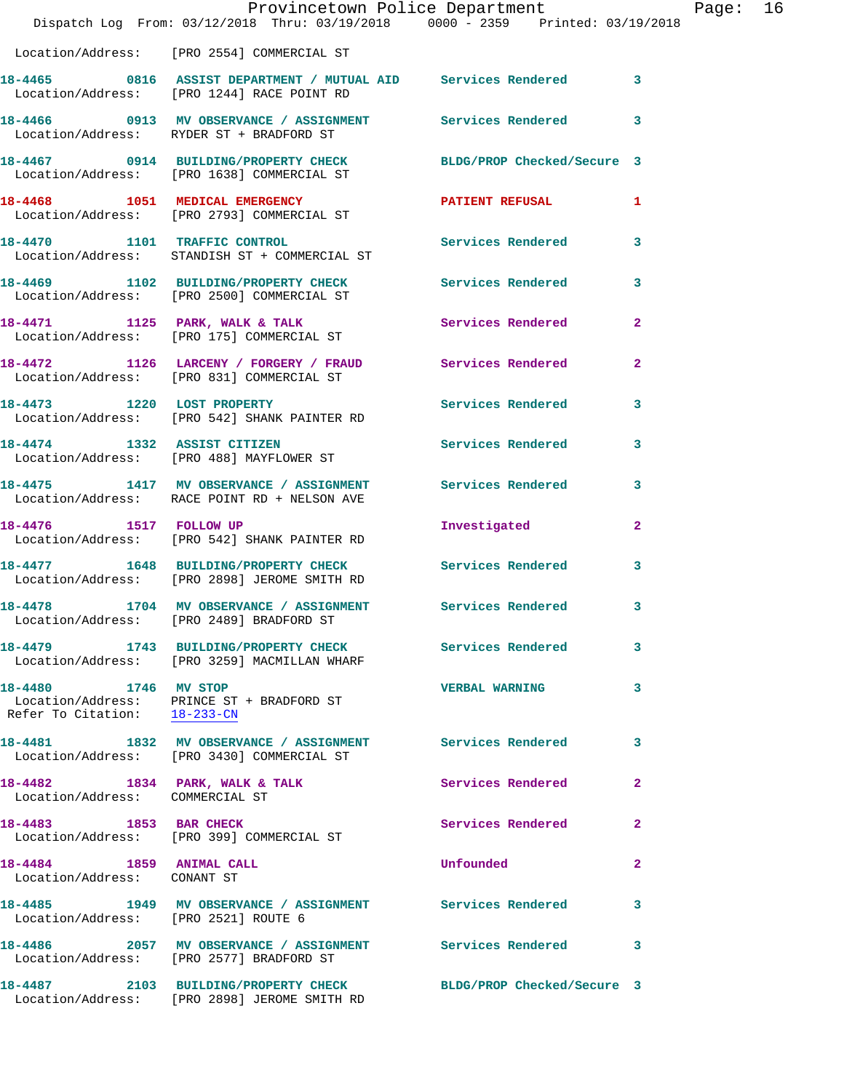|                                                         | Dispatch Log From: 03/12/2018 Thru: 03/19/2018 0000 - 2359 Printed: 03/19/2018                                | Provincetown Police Department |                | Page: 16 |  |
|---------------------------------------------------------|---------------------------------------------------------------------------------------------------------------|--------------------------------|----------------|----------|--|
|                                                         | Location/Address: [PRO 2554] COMMERCIAL ST                                                                    |                                |                |          |  |
|                                                         | 18-4465 0816 ASSIST DEPARTMENT / MUTUAL AID Services Rendered 3<br>Location/Address: [PRO 1244] RACE POINT RD |                                |                |          |  |
|                                                         | 18-4466 0913 MV OBSERVANCE / ASSIGNMENT Services Rendered 3<br>Location/Address: RYDER ST + BRADFORD ST       |                                |                |          |  |
|                                                         | 18-4467 0914 BUILDING/PROPERTY CHECK BLDG/PROP Checked/Secure 3<br>Location/Address: [PRO 1638] COMMERCIAL ST |                                |                |          |  |
|                                                         | 18-4468 1051 MEDICAL EMERGENCY<br>Location/Address: [PRO 2793] COMMERCIAL ST                                  | PATIENT REFUSAL 1              |                |          |  |
| 18-4470 1101 TRAFFIC CONTROL                            | Location/Address: STANDISH ST + COMMERCIAL ST                                                                 | Services Rendered 3            |                |          |  |
|                                                         | 18-4469 1102 BUILDING/PROPERTY CHECK<br>Location/Address: [PRO 2500] COMMERCIAL ST                            | Services Rendered              | $\mathbf{3}$   |          |  |
|                                                         | 18-4471 1125 PARK, WALK & TALK<br>Location/Address: [PRO 175] COMMERCIAL ST                                   | Services Rendered              | $\overline{2}$ |          |  |
|                                                         | 18-4472 1126 LARCENY / FORGERY / FRAUD Services Rendered<br>Location/Address: [PRO 831] COMMERCIAL ST         |                                | $\mathbf{2}$   |          |  |
|                                                         | 18-4473 1220 LOST PROPERTY<br>Location/Address: [PRO 542] SHANK PAINTER RD                                    | Services Rendered              | 3              |          |  |
|                                                         | 18-4474 1332 ASSIST CITIZEN<br>Location/Address: [PRO 488] MAYFLOWER ST                                       | Services Rendered 3            |                |          |  |
|                                                         | 18-4475 1417 MV OBSERVANCE / ASSIGNMENT Services Rendered<br>Location/Address: RACE POINT RD + NELSON AVE     |                                | 3              |          |  |
| 18-4476   1517   FOLLOW UP                              | Location/Address: [PRO 542] SHANK PAINTER RD                                                                  | Investigated                   | $\mathbf{2}$   |          |  |
|                                                         | 18-4477 1648 BUILDING/PROPERTY CHECK Services Rendered<br>Location/Address: [PRO 2898] JEROME SMITH RD        |                                | 3              |          |  |
| 18-4478                                                 | 1704 MV OBSERVANCE / ASSIGNMENT Services Rendered 3<br>Location/Address: [PRO 2489] BRADFORD ST               |                                |                |          |  |
|                                                         | 18-4479 1743 BUILDING/PROPERTY CHECK Services Rendered<br>Location/Address: [PRO 3259] MACMILLAN WHARF        |                                | $\mathbf{3}$   |          |  |
| 18-4480 1746 MV STOP<br>Refer To Citation: 18-233-CN    | Location/Address: PRINCE ST + BRADFORD ST                                                                     | <b>VERBAL WARNING</b>          | 3              |          |  |
|                                                         | 18-4481 1832 MV OBSERVANCE / ASSIGNMENT Services Rendered 3<br>Location/Address: [PRO 3430] COMMERCIAL ST     |                                |                |          |  |
| Location/Address: COMMERCIAL ST                         | 18-4482 1834 PARK, WALK & TALK 1999 Services Rendered                                                         |                                | $\mathbf{2}$   |          |  |
|                                                         | 18-4483 1853 BAR CHECK<br>Location/Address: [PRO 399] COMMERCIAL ST                                           | Services Rendered              | $\mathbf{2}$   |          |  |
| 18-4484 1859 ANIMAL CALL<br>Location/Address: CONANT ST |                                                                                                               | <b>Unfounded</b>               | $\mathbf{2}$   |          |  |
| Location/Address: [PRO 2521] ROUTE 6                    | 18-4485 1949 MV OBSERVANCE / ASSIGNMENT Services Rendered                                                     |                                | 3              |          |  |
|                                                         | 18-4486 2057 MV OBSERVANCE / ASSIGNMENT Services Rendered 3<br>Location/Address: [PRO 2577] BRADFORD ST       |                                |                |          |  |
|                                                         | 18-4487 2103 BUILDING/PROPERTY CHECK<br>Location/Address: [PRO 2898] JEROME SMITH RD                          | BLDG/PROP Checked/Secure 3     |                |          |  |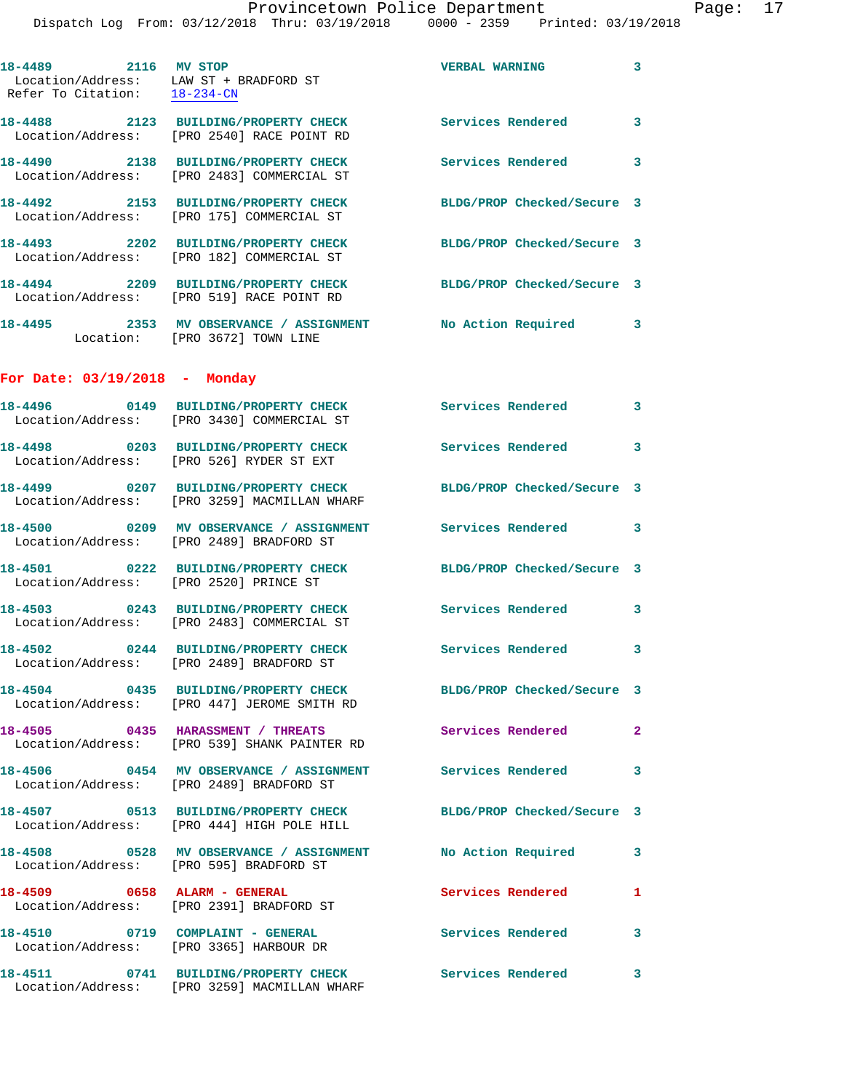|                                                                                                | Provincetown Police Department<br>Dispatch Log From: 03/12/2018 Thru: 03/19/2018 0000 - 2359 Printed: 03/19/2018   |                            |              |
|------------------------------------------------------------------------------------------------|--------------------------------------------------------------------------------------------------------------------|----------------------------|--------------|
| 18-4489 2116 MV STOP<br>Location/Address: LAW ST + BRADFORD ST<br>Refer To Citation: 18-234-CN |                                                                                                                    | <b>VERBAL WARNING</b>      | 3            |
|                                                                                                | 18-4488 2123 BUILDING/PROPERTY CHECK Services Rendered<br>Location/Address: [PRO 2540] RACE POINT RD               |                            | 3            |
|                                                                                                | 18-4490 2138 BUILDING/PROPERTY CHECK<br>Location/Address: [PRO 2483] COMMERCIAL ST                                 | <b>Services Rendered</b>   | 3            |
|                                                                                                | 18-4492 2153 BUILDING/PROPERTY CHECK<br>Location/Address: [PRO 175] COMMERCIAL ST                                  | BLDG/PROP Checked/Secure 3 |              |
|                                                                                                |                                                                                                                    | BLDG/PROP Checked/Secure 3 |              |
|                                                                                                | 18-4494 2209 BUILDING/PROPERTY CHECK<br>Location/Address: [PRO 519] RACE POINT RD                                  | BLDG/PROP Checked/Secure 3 |              |
|                                                                                                | 18-4495 2353 MV OBSERVANCE / ASSIGNMENT No Action Required<br>Location: [PRO 3672] TOWN LINE                       |                            | 3            |
| For Date: $03/19/2018$ - Monday                                                                |                                                                                                                    |                            |              |
|                                                                                                | Location/Address: [PRO 3430] COMMERCIAL ST                                                                         |                            | 3            |
|                                                                                                | 18-4498 0203 BUILDING/PROPERTY CHECK<br>Location/Address: [PRO 526] RYDER ST EXT                                   | Services Rendered          | 3            |
|                                                                                                | 18-4499 			0207 BUILDING/PROPERTY CHECK BLDG/PROP Checked/Secure 3<br>Location/Address: [PRO 3259] MACMILLAN WHARF |                            |              |
|                                                                                                | 18-4500 0209 MV OBSERVANCE / ASSIGNMENT Services Rendered<br>Location/Address: [PRO 2489] BRADFORD ST              |                            | 3            |
| Location/Address: [PRO 2520] PRINCE ST                                                         | 18-4501 0222 BUILDING/PROPERTY CHECK BLDG/PROP Checked/Secure 3                                                    |                            |              |
| 18-4503                                                                                        | 0243 BUILDING/PROPERTY CHECK<br>Location/Address: [PRO 2483] COMMERCIAL ST                                         | Services Rendered          | 3            |
|                                                                                                | 18-4502 0244 BUILDING/PROPERTY CHECK<br>Location/Address: [PRO 2489] BRADFORD ST                                   | Services Rendered          | 3            |
|                                                                                                | 18-4504 0435 BUILDING/PROPERTY CHECK BLDG/PROP Checked/Secure 3<br>Location/Address: [PRO 447] JEROME SMITH RD     |                            |              |
|                                                                                                | 18-4505 0435 HARASSMENT / THREATS<br>Location/Address: [PRO 539] SHANK PAINTER RD                                  | <b>Services Rendered</b>   | $\mathbf{2}$ |
|                                                                                                | 18-4506 6454 MV OBSERVANCE / ASSIGNMENT Services Rendered<br>Location/Address: [PRO 2489] BRADFORD ST              |                            | 3            |
|                                                                                                | 18-4507 0513 BUILDING/PROPERTY CHECK<br>Location/Address: [PRO 444] HIGH POLE HILL                                 | BLDG/PROP Checked/Secure 3 |              |
|                                                                                                | 18-4508 0528 MV OBSERVANCE / ASSIGNMENT No Action Required<br>Location/Address: [PRO 595] BRADFORD ST              |                            | 3            |
| 18-4509 0658 ALARM - GENERAL                                                                   | Location/Address: [PRO 2391] BRADFORD ST                                                                           | <b>Services Rendered</b>   | 1            |
|                                                                                                | 18-4510 0719 COMPLAINT - GENERAL Services Rendered<br>Location/Address: [PRO 3365] HARBOUR DR                      |                            | 3            |
|                                                                                                | 18-4511 0741 BUILDING/PROPERTY CHECK Services Rendered<br>Location/Address: [PRO 3259] MACMILLAN WHARF             |                            | 3            |